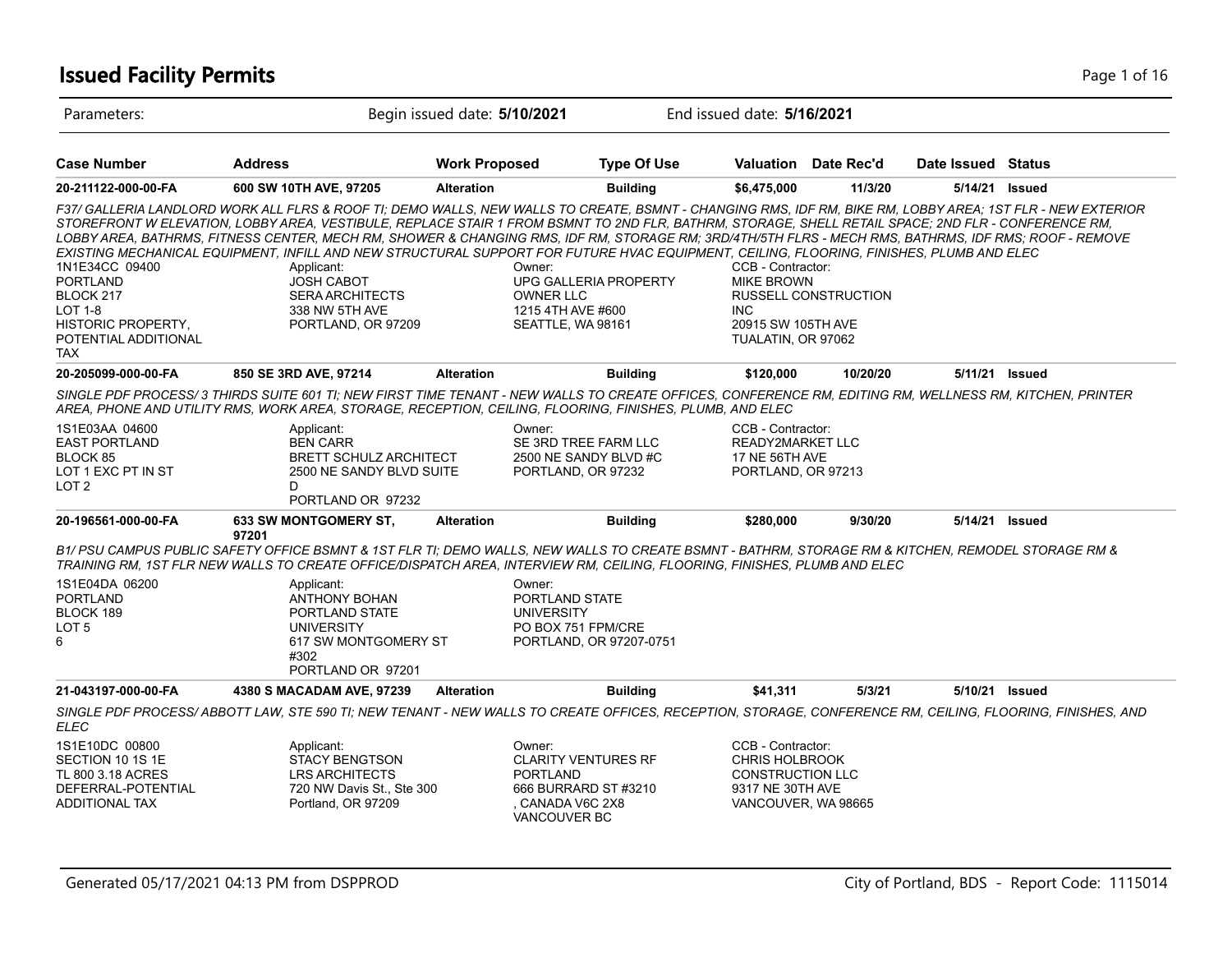# **Issued Facility Permits** Page 1 of 16

| Parameters:                                                                                                                         |                                                                                                                                                                                                                                                                                                                                                                                                                                                                                                                                                                                                                                                                                                                            | Begin issued date: 5/10/2021 |                                                                                                                   | End issued date: 5/16/2021                                                                                |                             |                    |  |
|-------------------------------------------------------------------------------------------------------------------------------------|----------------------------------------------------------------------------------------------------------------------------------------------------------------------------------------------------------------------------------------------------------------------------------------------------------------------------------------------------------------------------------------------------------------------------------------------------------------------------------------------------------------------------------------------------------------------------------------------------------------------------------------------------------------------------------------------------------------------------|------------------------------|-------------------------------------------------------------------------------------------------------------------|-----------------------------------------------------------------------------------------------------------|-----------------------------|--------------------|--|
| <b>Case Number</b>                                                                                                                  | <b>Address</b>                                                                                                                                                                                                                                                                                                                                                                                                                                                                                                                                                                                                                                                                                                             | <b>Work Proposed</b>         | <b>Type Of Use</b>                                                                                                |                                                                                                           | Valuation Date Rec'd        | Date Issued Status |  |
| 20-211122-000-00-FA                                                                                                                 | 600 SW 10TH AVE, 97205                                                                                                                                                                                                                                                                                                                                                                                                                                                                                                                                                                                                                                                                                                     | <b>Alteration</b>            | <b>Building</b>                                                                                                   | \$6,475,000                                                                                               | 11/3/20                     | 5/14/21 Issued     |  |
| 1N1E34CC 09400<br><b>PORTLAND</b><br>BLOCK 217<br><b>LOT 1-8</b><br><b>HISTORIC PROPERTY,</b><br>POTENTIAL ADDITIONAL<br><b>TAX</b> | F37/ GALLERIA LANDLORD WORK ALL FLRS & ROOF TI; DEMO WALLS, NEW WALLS TO CREATE, BSMNT - CHANGING RMS, IDF RM, BIKE RM, LOBBY AREA; 1ST FLR - NEW EXTERIOR<br>STOREFRONT W ELEVATION, LOBBY AREA, VESTIBULE, REPLACE STAIR 1 FROM BSMNT TO 2ND FLR, BATHRM, STORAGE, SHELL RETAIL SPACE; 2ND FLR - CONFERENCE RM,<br>LOBBY AREA, BATHRMS, FITNESS CENTER, MECH RM, SHOWER & CHANGING RMS, IDF RM, STORAGE RM; 3RD/4TH/5TH FLRS - MECH RMS, BATHRMS, IDF RMS; ROOF - REMOVE<br>EXISTING MECHANICAL EQUIPMENT. INFILL AND NEW STRUCTURAL SUPPORT FOR FUTURE HVAC EQUIPMENT. CEILING. FLOORING. FINISHES. PLUMB AND ELEC<br>Applicant:<br><b>JOSH CABOT</b><br><b>SERA ARCHITECTS</b><br>338 NW 5TH AVE<br>PORTLAND, OR 97209 |                              | Owner:<br>UPG GALLERIA PROPERTY<br><b>OWNER LLC</b><br>1215 4TH AVE #600<br>SEATTLE, WA 98161                     | CCB - Contractor:<br><b>MIKE BROWN</b><br><b>INC</b><br>20915 SW 105TH AVE<br>TUALATIN, OR 97062          | <b>RUSSELL CONSTRUCTION</b> |                    |  |
| 20-205099-000-00-FA                                                                                                                 | 850 SE 3RD AVE, 97214                                                                                                                                                                                                                                                                                                                                                                                                                                                                                                                                                                                                                                                                                                      | <b>Alteration</b>            | <b>Building</b>                                                                                                   | \$120,000                                                                                                 | 10/20/20                    | 5/11/21 Issued     |  |
|                                                                                                                                     | SINGLE PDF PROCESS/3 THIRDS SUITE 601 TI; NEW FIRST TIME TENANT - NEW WALLS TO CREATE OFFICES, CONFERENCE RM, EDITING RM, WELLNESS RM, KITCHEN, PRINTER<br>AREA, PHONE AND UTILITY RMS, WORK AREA, STORAGE, RECEPTION, CEILING, FLOORING, FINISHES, PLUMB, AND ELEC                                                                                                                                                                                                                                                                                                                                                                                                                                                        |                              |                                                                                                                   |                                                                                                           |                             |                    |  |
| 1S1E03AA 04600<br><b>EAST PORTLAND</b><br>BLOCK 85<br>LOT 1 EXC PT IN ST<br>LOT <sub>2</sub>                                        | Applicant:<br><b>BEN CARR</b><br><b>BRETT SCHULZ ARCHITECT</b><br>2500 NE SANDY BLVD SUITE<br>D<br>PORTLAND OR 97232                                                                                                                                                                                                                                                                                                                                                                                                                                                                                                                                                                                                       |                              | Owner:<br>SE 3RD TREE FARM LLC<br>2500 NE SANDY BLVD #C<br>PORTLAND, OR 97232                                     | CCB - Contractor:<br>READY2MARKET LLC<br>17 NE 56TH AVE<br>PORTLAND, OR 97213                             |                             |                    |  |
| 20-196561-000-00-FA                                                                                                                 | <b>633 SW MONTGOMERY ST.</b><br>97201                                                                                                                                                                                                                                                                                                                                                                                                                                                                                                                                                                                                                                                                                      | <b>Alteration</b>            | <b>Building</b>                                                                                                   | \$280,000                                                                                                 | 9/30/20                     | 5/14/21 Issued     |  |
|                                                                                                                                     | B1/ PSU CAMPUS PUBLIC SAFETY OFFICE BSMNT & 1ST FLR TI; DEMO WALLS, NEW WALLS TO CREATE BSMNT - BATHRM, STORAGE RM & KITCHEN, REMODEL STORAGE RM &<br>TRAINING RM, 1ST FLR NEW WALLS TO CREATE OFFICE/DISPATCH AREA, INTERVIEW RM, CEILING, FLOORING, FINISHES, PLUMB AND ELEC                                                                                                                                                                                                                                                                                                                                                                                                                                             |                              |                                                                                                                   |                                                                                                           |                             |                    |  |
| 1S1E04DA 06200<br><b>PORTLAND</b><br>BLOCK 189<br>LOT <sub>5</sub><br>6                                                             | Applicant:<br><b>ANTHONY BOHAN</b><br>PORTLAND STATE<br><b>UNIVERSITY</b><br>617 SW MONTGOMERY ST<br>#302<br>PORTLAND OR 97201                                                                                                                                                                                                                                                                                                                                                                                                                                                                                                                                                                                             |                              | Owner:<br>PORTLAND STATE<br><b>UNIVERSITY</b><br>PO BOX 751 FPM/CRE<br>PORTLAND, OR 97207-0751                    |                                                                                                           |                             |                    |  |
| 21-043197-000-00-FA                                                                                                                 | 4380 S MACADAM AVE, 97239                                                                                                                                                                                                                                                                                                                                                                                                                                                                                                                                                                                                                                                                                                  | <b>Alteration</b>            | <b>Building</b>                                                                                                   | \$41,311                                                                                                  | 5/3/21                      | 5/10/21 Issued     |  |
| <b>ELEC</b>                                                                                                                         | SINGLE PDF PROCESS/ABBOTT LAW, STE 590 TI; NEW TENANT - NEW WALLS TO CREATE OFFICES, RECEPTION, STORAGE, CONFERENCE RM, CEILING, FLOORING, FINISHES, AND                                                                                                                                                                                                                                                                                                                                                                                                                                                                                                                                                                   |                              |                                                                                                                   |                                                                                                           |                             |                    |  |
| 1S1E10DC 00800<br>SECTION 10 1S 1E<br>TL 800 3.18 ACRES<br>DEFERRAL-POTENTIAL<br><b>ADDITIONAL TAX</b>                              | Applicant:<br><b>STACY BENGTSON</b><br><b>LRS ARCHITECTS</b><br>720 NW Davis St., Ste 300<br>Portland, OR 97209                                                                                                                                                                                                                                                                                                                                                                                                                                                                                                                                                                                                            |                              | Owner:<br><b>CLARITY VENTURES RF</b><br><b>PORTLAND</b><br>666 BURRARD ST #3210<br>CANADA V6C 2X8<br>VANCOUVER BC | CCB - Contractor:<br><b>CHRIS HOLBROOK</b><br>CONSTRUCTION LLC<br>9317 NE 30TH AVE<br>VANCOUVER, WA 98665 |                             |                    |  |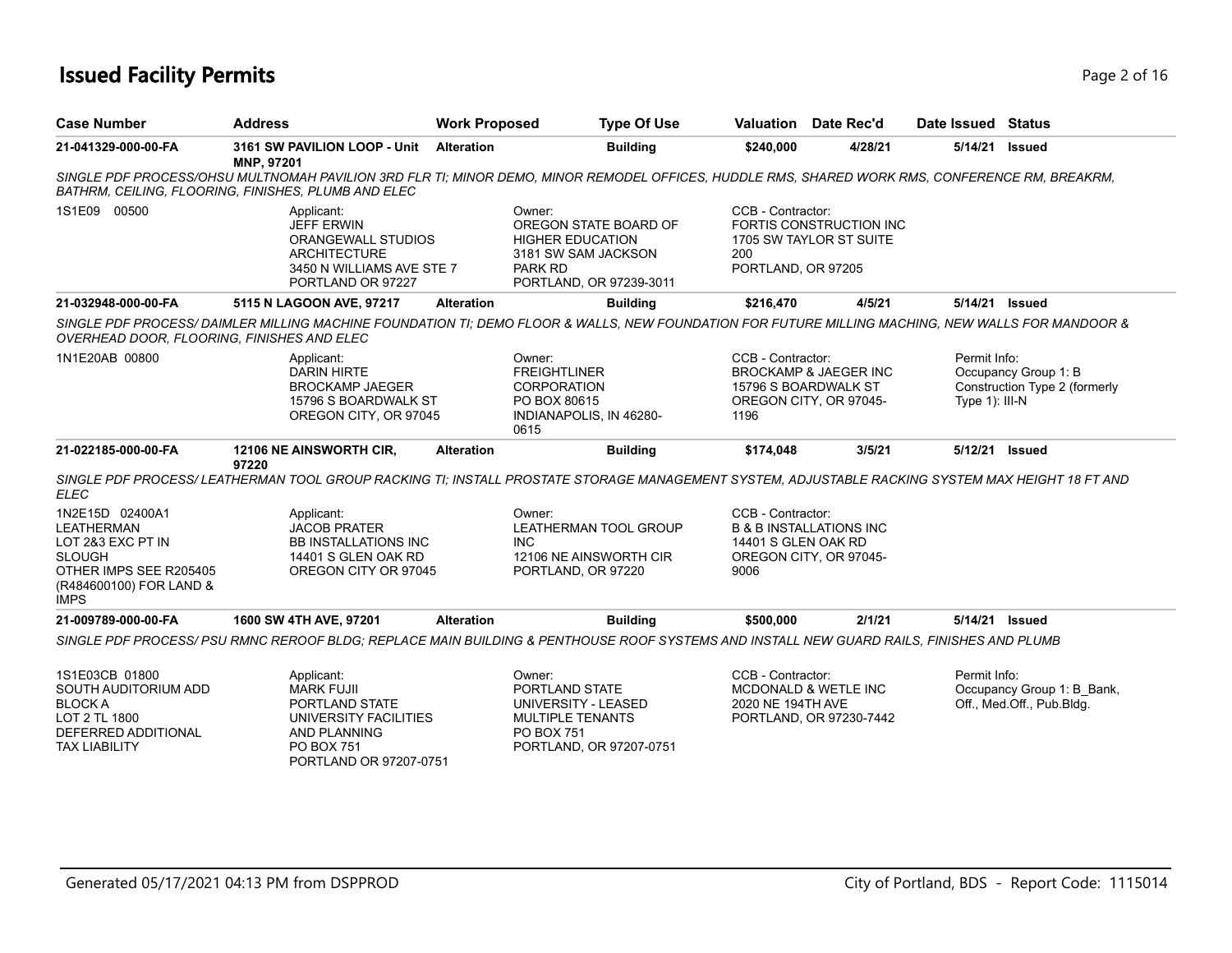# **Issued Facility Permits** Page 2 of 16

| <b>Case Number</b>                                                                                                                             | <b>Address</b>                                                                                                                                                                                        | <b>Work Proposed</b> | <b>Type Of Use</b>                                                                                                   |                                                  | Valuation Date Rec'd                                                               | Date Issued Status                |                                                         |
|------------------------------------------------------------------------------------------------------------------------------------------------|-------------------------------------------------------------------------------------------------------------------------------------------------------------------------------------------------------|----------------------|----------------------------------------------------------------------------------------------------------------------|--------------------------------------------------|------------------------------------------------------------------------------------|-----------------------------------|---------------------------------------------------------|
| 21-041329-000-00-FA                                                                                                                            | 3161 SW PAVILION LOOP - Unit<br>MNP, 97201                                                                                                                                                            | <b>Alteration</b>    | <b>Building</b>                                                                                                      | \$240,000                                        | 4/28/21                                                                            | 5/14/21                           | Issued                                                  |
|                                                                                                                                                | SINGLE PDF PROCESS/OHSU MULTNOMAH PAVILION 3RD FLR TI; MINOR DEMO, MINOR REMODEL OFFICES, HUDDLE RMS, SHARED WORK RMS, CONFERENCE RM, BREAKRM,<br>BATHRM, CEILING, FLOORING, FINISHES, PLUMB AND ELEC |                      |                                                                                                                      |                                                  |                                                                                    |                                   |                                                         |
| 1S1E09 00500                                                                                                                                   | Applicant:<br><b>JEFF ERWIN</b><br>ORANGEWALL STUDIOS<br><b>ARCHITECTURE</b><br>3450 N WILLIAMS AVE STE 7<br>PORTLAND OR 97227                                                                        | Owner:               | OREGON STATE BOARD OF<br><b>HIGHER EDUCATION</b><br>3181 SW SAM JACKSON<br><b>PARK RD</b><br>PORTLAND, OR 97239-3011 | CCB - Contractor:<br>200<br>PORTLAND, OR 97205   | FORTIS CONSTRUCTION INC<br>1705 SW TAYLOR ST SUITE                                 |                                   |                                                         |
| 21-032948-000-00-FA                                                                                                                            | 5115 N LAGOON AVE, 97217                                                                                                                                                                              | <b>Alteration</b>    | <b>Building</b>                                                                                                      | \$216,470                                        | 4/5/21                                                                             |                                   | 5/14/21 Issued                                          |
| OVERHEAD DOOR, FLOORING, FINISHES AND ELEC                                                                                                     | SINGLE PDF PROCESS/ DAIMLER MILLING MACHINE FOUNDATION TI; DEMO FLOOR & WALLS, NEW FOUNDATION FOR FUTURE MILLING MACHING, NEW WALLS FOR MANDOOR &                                                     |                      |                                                                                                                      |                                                  |                                                                                    |                                   |                                                         |
| 1N1E20AB 00800                                                                                                                                 | Applicant:<br><b>DARIN HIRTE</b><br><b>BROCKAMP JAEGER</b><br>15796 S BOARDWALK ST<br>OREGON CITY, OR 97045                                                                                           | Owner:<br>0615       | <b>FREIGHTLINER</b><br><b>CORPORATION</b><br>PO BOX 80615<br>INDIANAPOLIS, IN 46280-                                 | CCB - Contractor:<br>1196                        | <b>BROCKAMP &amp; JAEGER INC</b><br>15796 S BOARDWALK ST<br>OREGON CITY, OR 97045- | Permit Info:<br>Type $1$ ): III-N | Occupancy Group 1: B<br>Construction Type 2 (formerly   |
| 21-022185-000-00-FA                                                                                                                            | 12106 NE AINSWORTH CIR,<br>97220                                                                                                                                                                      | <b>Alteration</b>    | <b>Building</b>                                                                                                      | \$174,048                                        | 3/5/21                                                                             |                                   | 5/12/21 Issued                                          |
| <b>ELEC</b>                                                                                                                                    | SINGLE PDF PROCESS/ LEATHERMAN TOOL GROUP RACKING TI; INSTALL PROSTATE STORAGE MANAGEMENT SYSTEM, ADJUSTABLE RACKING SYSTEM MAX HEIGHT 18 FT AND                                                      |                      |                                                                                                                      |                                                  |                                                                                    |                                   |                                                         |
| 1N2E15D 02400A1<br><b>LEATHERMAN</b><br>LOT 2&3 EXC PT IN<br><b>SLOUGH</b><br>OTHER IMPS SEE R205405<br>(R484600100) FOR LAND &<br><b>IMPS</b> | Applicant:<br><b>JACOB PRATER</b><br><b>BB INSTALLATIONS INC</b><br>14401 S GLEN OAK RD<br>OREGON CITY OR 97045                                                                                       | Owner:<br>INC.       | <b>LEATHERMAN TOOL GROUP</b><br>12106 NE AINSWORTH CIR<br>PORTLAND, OR 97220                                         | CCB - Contractor:<br>14401 S GLEN OAK RD<br>9006 | <b>B &amp; B INSTALLATIONS INC</b><br>OREGON CITY, OR 97045-                       |                                   |                                                         |
| 21-009789-000-00-FA                                                                                                                            | 1600 SW 4TH AVE, 97201                                                                                                                                                                                | <b>Alteration</b>    | <b>Building</b>                                                                                                      | \$500,000                                        | 2/1/21                                                                             |                                   | 5/14/21 Issued                                          |
|                                                                                                                                                | SINGLE PDF PROCESS/ PSU RMNC REROOF BLDG: REPLACE MAIN BUILDING & PENTHOUSE ROOF SYSTEMS AND INSTALL NEW GUARD RAILS. FINISHES AND PLUMB                                                              |                      |                                                                                                                      |                                                  |                                                                                    |                                   |                                                         |
| 1S1E03CB 01800<br>SOUTH AUDITORIUM ADD<br><b>BLOCK A</b><br>LOT 2 TL 1800<br>DEFERRED ADDITIONAL<br><b>TAX LIABILITY</b>                       | Applicant:<br><b>MARK FUJII</b><br>PORTLAND STATE<br>UNIVERSITY FACILITIES<br><b>AND PLANNING</b><br><b>PO BOX 751</b>                                                                                | Owner:               | PORTLAND STATE<br>UNIVERSITY - LEASED<br><b>MULTIPLE TENANTS</b><br><b>PO BOX 751</b><br>PORTLAND, OR 97207-0751     | CCB - Contractor:<br>2020 NE 194TH AVE           | <b>MCDONALD &amp; WETLE INC</b><br>PORTLAND, OR 97230-7442                         | Permit Info:                      | Occupancy Group 1: B Bank,<br>Off., Med.Off., Pub.Bldg. |

PORTLAND OR 97207-0751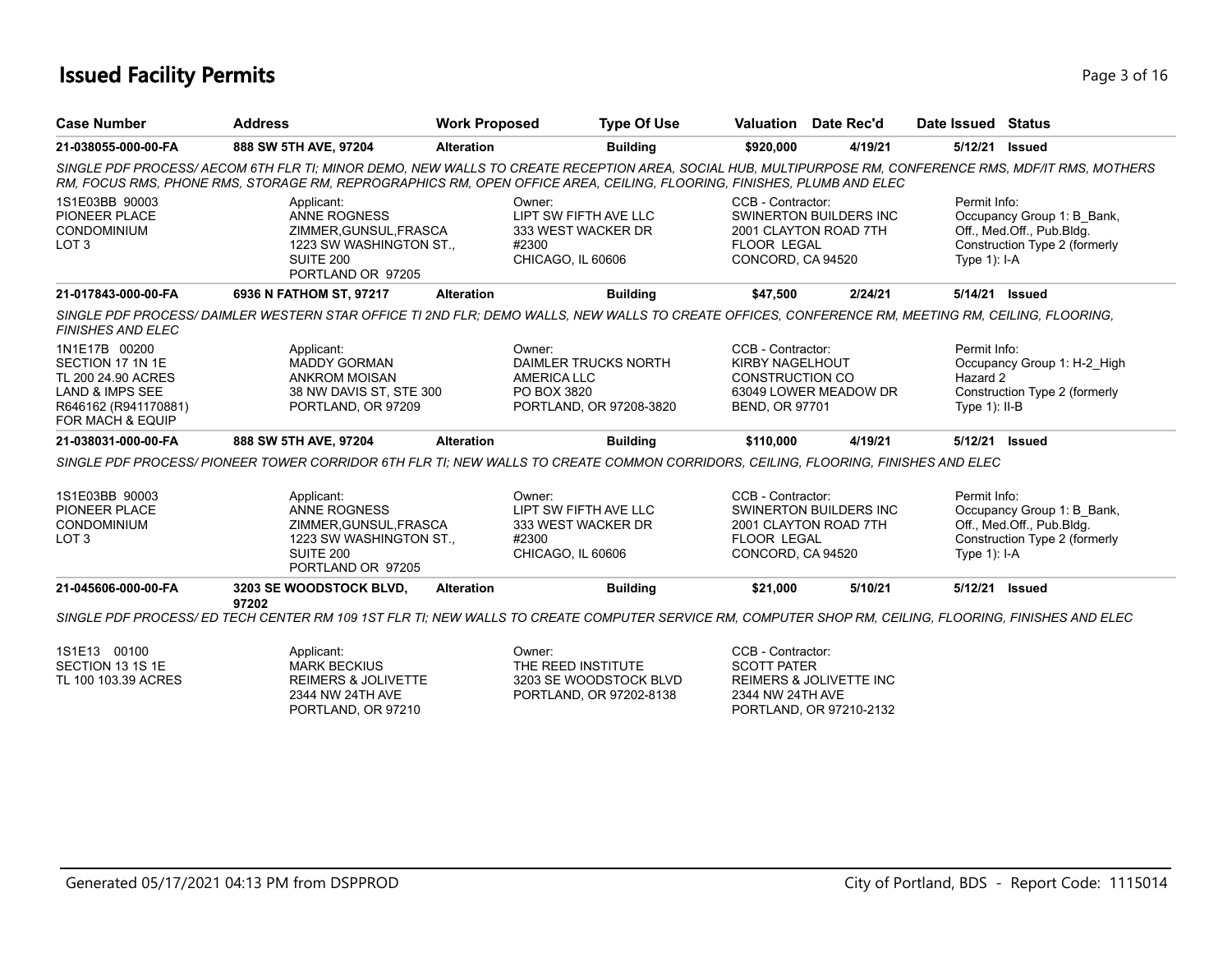# **Issued Facility Permits** Page 1 of 16

| <b>Case Number</b>                                                                                                                | <b>Address</b>                                                                                                                                                                                                                                                                 | <b>Work Proposed</b>                 | <b>Type Of Use</b>                                                      | <b>Valuation</b> Date Rec'd                                                                    |                               | Date Issued Status                           |                                                                                          |
|-----------------------------------------------------------------------------------------------------------------------------------|--------------------------------------------------------------------------------------------------------------------------------------------------------------------------------------------------------------------------------------------------------------------------------|--------------------------------------|-------------------------------------------------------------------------|------------------------------------------------------------------------------------------------|-------------------------------|----------------------------------------------|------------------------------------------------------------------------------------------|
| 21-038055-000-00-FA                                                                                                               | 888 SW 5TH AVE, 97204                                                                                                                                                                                                                                                          | <b>Alteration</b>                    | <b>Building</b>                                                         | \$920,000                                                                                      | 4/19/21                       | 5/12/21                                      | <b>Issued</b>                                                                            |
|                                                                                                                                   | SINGLE PDF PROCESS/AECOM 6TH FLR TI; MINOR DEMO, NEW WALLS TO CREATE RECEPTION AREA, SOCIAL HUB, MULTIPURPOSE RM, CONFERENCE RMS, MDF/IT RMS, MOTHERS<br>RM, FOCUS RMS, PHONE RMS, STORAGE RM, REPROGRAPHICS RM, OPEN OFFICE AREA, CEILING, FLOORING, FINISHES, PLUMB AND ELEC |                                      |                                                                         |                                                                                                |                               |                                              |                                                                                          |
| 1S1E03BB 90003<br>PIONEER PLACE<br><b>CONDOMINIUM</b><br>LOT <sub>3</sub>                                                         | Applicant:<br><b>ANNE ROGNESS</b><br>ZIMMER, GUNSUL, FRASCA<br>1223 SW WASHINGTON ST.,<br><b>SUITE 200</b><br>PORTLAND OR 97205                                                                                                                                                | Owner:<br>#2300                      | LIPT SW FIFTH AVE LLC<br>333 WEST WACKER DR<br>CHICAGO, IL 60606        | CCB - Contractor:<br>2001 CLAYTON ROAD 7TH<br><b>FLOOR LEGAL</b><br>CONCORD, CA 94520          | SWINERTON BUILDERS INC        | Permit Info:<br>Type $1$ : I-A               | Occupancy Group 1: B_Bank,<br>Off., Med.Off., Pub.Bldg.<br>Construction Type 2 (formerly |
| 21-017843-000-00-FA                                                                                                               | 6936 N FATHOM ST, 97217                                                                                                                                                                                                                                                        | <b>Alteration</b>                    | <b>Building</b>                                                         | \$47,500                                                                                       | 2/24/21                       | 5/14/21 Issued                               |                                                                                          |
| <b>FINISHES AND ELEC</b>                                                                                                          | SINGLE PDF PROCESS/DAIMLER WESTERN STAR OFFICE TI 2ND FLR; DEMO WALLS, NEW WALLS TO CREATE OFFICES, CONFERENCE RM, MEETING RM, CEILING, FLOORING,                                                                                                                              |                                      |                                                                         |                                                                                                |                               |                                              |                                                                                          |
| 1N1E17B 00200<br>SECTION 17 1N 1E<br>TL 200 24.90 ACRES<br><b>LAND &amp; IMPS SEE</b><br>R646162 (R941170881)<br>FOR MACH & EQUIP | Applicant:<br><b>MADDY GORMAN</b><br><b>ANKROM MOISAN</b><br>38 NW DAVIS ST, STE 300<br>PORTLAND, OR 97209                                                                                                                                                                     | Owner:<br>AMERICA LLC<br>PO BOX 3820 | DAIMLER TRUCKS NORTH<br>PORTLAND, OR 97208-3820                         | CCB - Contractor:<br><b>KIRBY NAGELHOUT</b><br><b>CONSTRUCTION CO</b><br><b>BEND, OR 97701</b> | 63049 LOWER MEADOW DR         | Permit Info:<br>Hazard 2<br>Type $1$ ): II-B | Occupancy Group 1: H-2_High<br>Construction Type 2 (formerly                             |
| 21-038031-000-00-FA                                                                                                               | 888 SW 5TH AVE, 97204                                                                                                                                                                                                                                                          | <b>Alteration</b>                    | <b>Building</b>                                                         | \$110,000                                                                                      | 4/19/21                       | 5/12/21 Issued                               |                                                                                          |
|                                                                                                                                   | SINGLE PDF PROCESS/ PIONEER TOWER CORRIDOR 6TH FLR TI: NEW WALLS TO CREATE COMMON CORRIDORS, CEILING, FLOORING, FINISHES AND ELEC                                                                                                                                              |                                      |                                                                         |                                                                                                |                               |                                              |                                                                                          |
| 1S1E03BB 90003<br>PIONEER PLACE<br>CONDOMINIUM<br>LOT <sub>3</sub>                                                                | Applicant:<br>ANNE ROGNESS<br>ZIMMER, GUNSUL, FRASCA<br>1223 SW WASHINGTON ST.,<br>SUITE 200<br>PORTLAND OR 97205                                                                                                                                                              | Owner:<br>#2300                      | LIPT SW FIFTH AVE LLC<br>333 WEST WACKER DR<br>CHICAGO, IL 60606        | CCB - Contractor:<br>2001 CLAYTON ROAD 7TH<br><b>FLOOR LEGAL</b><br>CONCORD, CA 94520          | <b>SWINERTON BUILDERS INC</b> | Permit Info:<br>Type $1$ : I-A               | Occupancy Group 1: B Bank,<br>Off., Med.Off., Pub.Bldg.<br>Construction Type 2 (formerly |
| 21-045606-000-00-FA                                                                                                               | 3203 SE WOODSTOCK BLVD,<br>97202                                                                                                                                                                                                                                               | <b>Alteration</b>                    | <b>Building</b>                                                         | \$21.000                                                                                       | 5/10/21                       | 5/12/21 Issued                               |                                                                                          |
|                                                                                                                                   | SINGLE PDF PROCESS/ ED TECH CENTER RM 109 1ST FLR TI; NEW WALLS TO CREATE COMPUTER SERVICE RM, COMPUTER SHOP RM, CEILING, FLOORING, FINISHES AND ELEC                                                                                                                          |                                      |                                                                         |                                                                                                |                               |                                              |                                                                                          |
| 1S1E13 00100<br>SECTION 13 1S 1E<br>TL 100 103.39 ACRES                                                                           | Applicant:<br><b>MARK BECKIUS</b><br><b>REIMERS &amp; JOLIVETTE</b><br>2344 NW 24TH AVE<br>PORTLAND, OR 97210                                                                                                                                                                  | Owner:                               | THE REED INSTITUTE<br>3203 SE WOODSTOCK BLVD<br>PORTLAND, OR 97202-8138 | CCB - Contractor:<br><b>SCOTT PATER</b><br>2344 NW 24TH AVE<br>PORTLAND, OR 97210-2132         | REIMERS & JOLIVETTE INC       |                                              |                                                                                          |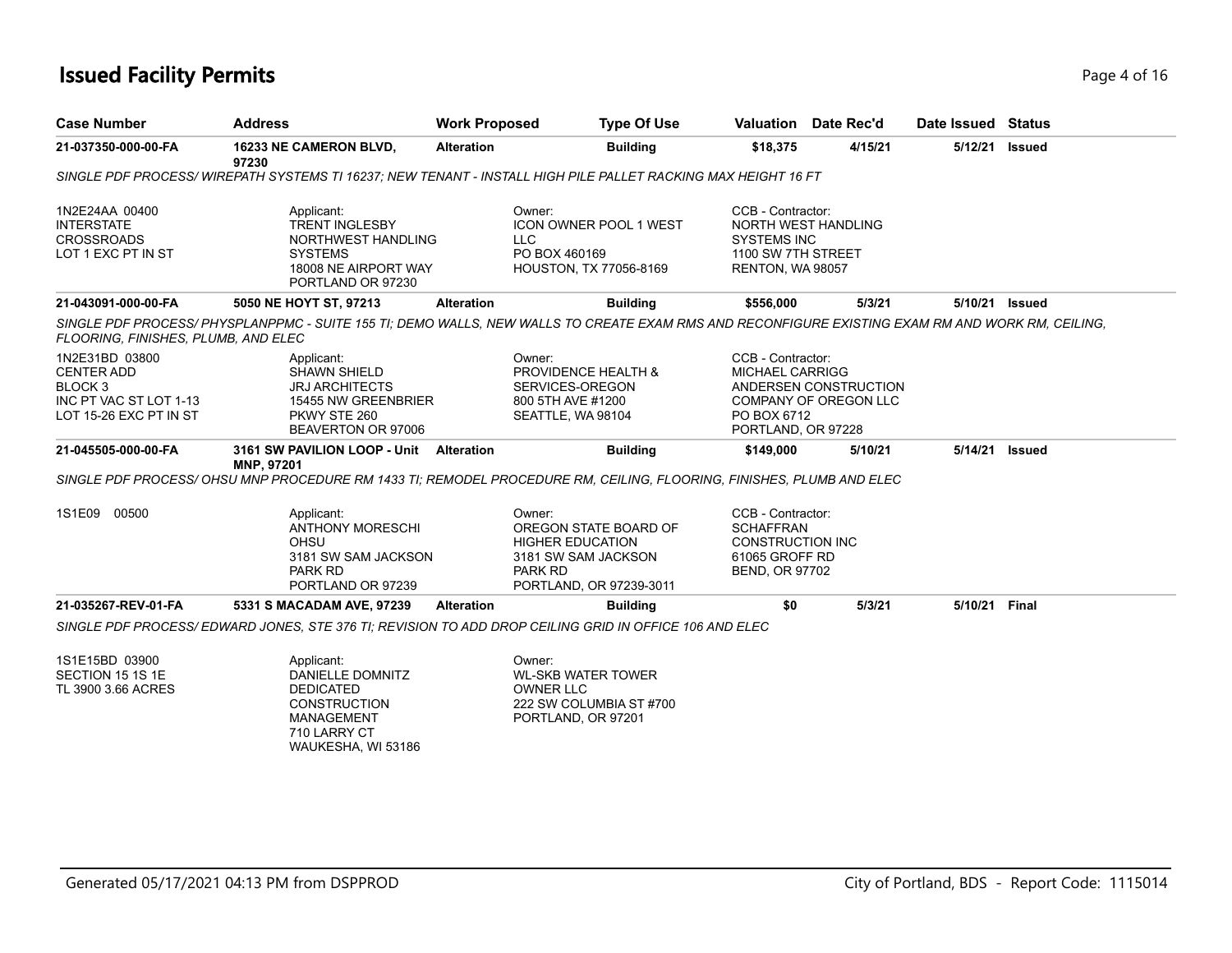# **Issued Facility Permits** Page 4 of 16

| <b>Case Number</b>                                                                                            | Address                                                                                                                                                            | <b>Work Proposed</b> | <b>Type Of Use</b>                                                                                                      |                                                                                                      | Valuation Date Rec'd                           | Date Issued Status |                |
|---------------------------------------------------------------------------------------------------------------|--------------------------------------------------------------------------------------------------------------------------------------------------------------------|----------------------|-------------------------------------------------------------------------------------------------------------------------|------------------------------------------------------------------------------------------------------|------------------------------------------------|--------------------|----------------|
| 21-037350-000-00-FA                                                                                           | 16233 NE CAMERON BLVD,<br>97230                                                                                                                                    | <b>Alteration</b>    | <b>Building</b>                                                                                                         | \$18,375                                                                                             | 4/15/21                                        | 5/12/21            | <b>Issued</b>  |
|                                                                                                               | SINGLE PDF PROCESS/WIREPATH SYSTEMS TI 16237; NEW TENANT - INSTALL HIGH PILE PALLET RACKING MAX HEIGHT 16 FT                                                       |                      |                                                                                                                         |                                                                                                      |                                                |                    |                |
| 1N2E24AA 00400<br><b>INTERSTATE</b><br><b>CROSSROADS</b><br>LOT 1 EXC PT IN ST                                | Applicant:<br><b>TRENT INGLESBY</b><br>NORTHWEST HANDLING<br><b>SYSTEMS</b><br>18008 NE AIRPORT WAY<br>PORTLAND OR 97230                                           |                      | Owner:<br><b>ICON OWNER POOL 1 WEST</b><br><b>LLC</b><br>PO BOX 460169<br>HOUSTON, TX 77056-8169                        | CCB - Contractor:<br><b>SYSTEMS INC</b><br>1100 SW 7TH STREET<br>RENTON, WA 98057                    | <b>NORTH WEST HANDLING</b>                     |                    |                |
| 21-043091-000-00-FA                                                                                           | 5050 NE HOYT ST, 97213                                                                                                                                             | <b>Alteration</b>    | <b>Building</b>                                                                                                         | \$556,000                                                                                            | 5/3/21                                         |                    | 5/10/21 Issued |
| FLOORING, FINISHES, PLUMB, AND ELEC                                                                           | SINGLE PDF PROCESS/PHYSPLANPPMC - SUITE 155 TI; DEMO WALLS, NEW WALLS TO CREATE EXAM RMS AND RECONFIGURE EXISTING EXAM RM AND WORK RM, CEILING,                    |                      |                                                                                                                         |                                                                                                      |                                                |                    |                |
| 1N2E31BD 03800<br><b>CENTER ADD</b><br>BLOCK <sub>3</sub><br>INC PT VAC ST LOT 1-13<br>LOT 15-26 EXC PT IN ST | Applicant:<br><b>SHAWN SHIELD</b><br><b>JRJ ARCHITECTS</b><br>15455 NW GREENBRIER<br>PKWY STE 260<br>BEAVERTON OR 97006                                            |                      | Owner:<br>PROVIDENCE HEALTH &<br>SERVICES-OREGON<br>800 5TH AVE #1200<br>SEATTLE, WA 98104                              | CCB - Contractor:<br><b>MICHAEL CARRIGG</b><br>PO BOX 6712<br>PORTLAND, OR 97228                     | ANDERSEN CONSTRUCTION<br>COMPANY OF OREGON LLC |                    |                |
| 21-045505-000-00-FA                                                                                           | 3161 SW PAVILION LOOP - Unit<br>MNP, 97201<br>SINGLE PDF PROCESS/ OHSU MNP PROCEDURE RM 1433 TI: REMODEL PROCEDURE RM. CEILING. FLOORING. FINISHES. PLUMB AND ELEC | <b>Alteration</b>    | <b>Building</b>                                                                                                         | \$149.000                                                                                            | 5/10/21                                        |                    | 5/14/21 Issued |
| 1S1E09 00500                                                                                                  | Applicant:<br><b>ANTHONY MORESCHI</b><br>OHSU<br>3181 SW SAM JACKSON<br><b>PARK RD</b><br>PORTLAND OR 97239                                                        |                      | Owner:<br>OREGON STATE BOARD OF<br><b>HIGHER EDUCATION</b><br>3181 SW SAM JACKSON<br>PARK RD<br>PORTLAND, OR 97239-3011 | CCB - Contractor:<br><b>SCHAFFRAN</b><br><b>CONSTRUCTION INC</b><br>61065 GROFF RD<br>BEND, OR 97702 |                                                |                    |                |
| 21-035267-REV-01-FA                                                                                           | 5331 S MACADAM AVE, 97239                                                                                                                                          | <b>Alteration</b>    | <b>Building</b>                                                                                                         | \$0                                                                                                  | 5/3/21                                         | 5/10/21            | Final          |
|                                                                                                               | SINGLE PDF PROCESS/EDWARD JONES, STE 376 TI; REVISION TO ADD DROP CEILING GRID IN OFFICE 106 AND ELEC                                                              |                      |                                                                                                                         |                                                                                                      |                                                |                    |                |
| 1S1E15BD 03900<br>SECTION 15 1S 1E<br>TL 3900 3.66 ACRES                                                      | Applicant:<br>DANIELLE DOMNITZ<br><b>DEDICATED</b><br><b>CONSTRUCTION</b><br><b>MANAGEMENT</b><br>710 LARRY CT<br>WAUKESHA, WI 53186                               |                      | Owner:<br><b>WL-SKB WATER TOWER</b><br><b>OWNER LLC</b><br>222 SW COLUMBIA ST #700<br>PORTLAND, OR 97201                |                                                                                                      |                                                |                    |                |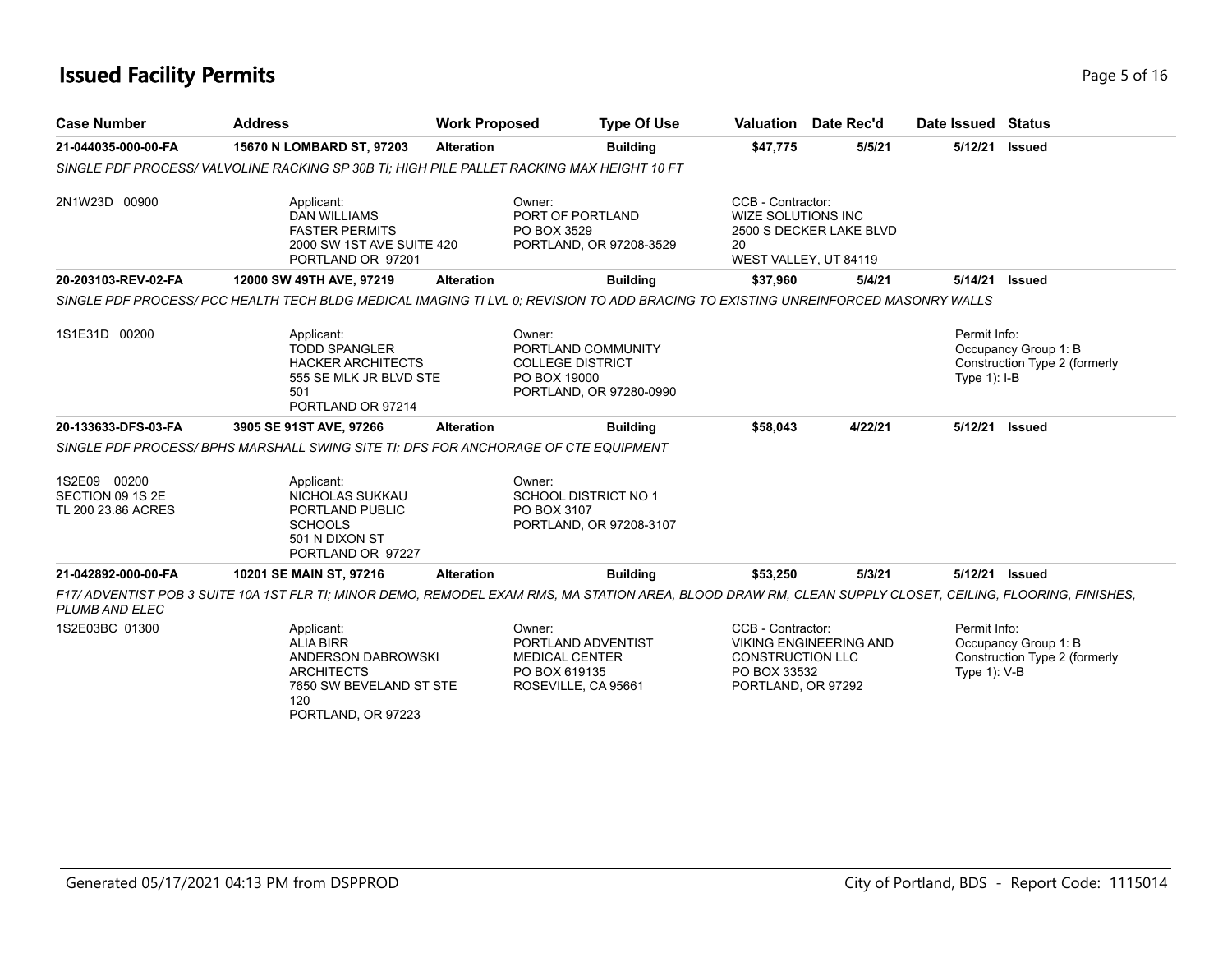# **Issued Facility Permits** Page 16 16

| <b>Case Number</b>                                     | <b>Address</b>                                                                                                                                             | <b>Work Proposed</b> | <b>Type Of Use</b>                                                                                 |                                                                                    | <b>Valuation</b> Date Rec'd   | Date Issued Status                |                                                       |
|--------------------------------------------------------|------------------------------------------------------------------------------------------------------------------------------------------------------------|----------------------|----------------------------------------------------------------------------------------------------|------------------------------------------------------------------------------------|-------------------------------|-----------------------------------|-------------------------------------------------------|
| 21-044035-000-00-FA                                    | 15670 N LOMBARD ST, 97203                                                                                                                                  | <b>Alteration</b>    | <b>Building</b>                                                                                    | \$47,775                                                                           | 5/5/21                        | 5/12/21                           | <b>Issued</b>                                         |
|                                                        | SINGLE PDF PROCESS/VALVOLINE RACKING SP 30B TI: HIGH PILE PALLET RACKING MAX HEIGHT 10 FT                                                                  |                      |                                                                                                    |                                                                                    |                               |                                   |                                                       |
| 2N1W23D 00900                                          | Applicant:<br><b>DAN WILLIAMS</b><br><b>FASTER PERMITS</b><br>2000 SW 1ST AVE SUITE 420<br>PORTLAND OR 97201                                               |                      | Owner:<br>PORT OF PORTLAND<br>PO BOX 3529<br>PORTLAND, OR 97208-3529                               | CCB - Contractor:<br>WIZE SOLUTIONS INC<br>20<br>WEST VALLEY, UT 84119             | 2500 S DECKER LAKE BLVD       |                                   |                                                       |
| 20-203103-REV-02-FA                                    | 12000 SW 49TH AVE, 97219                                                                                                                                   | <b>Alteration</b>    | <b>Building</b>                                                                                    | \$37,960                                                                           | 5/4/21                        | 5/14/21                           | <b>Issued</b>                                         |
|                                                        | SINGLE PDF PROCESS/ PCC HEALTH TECH BLDG MEDICAL IMAGING TI LVL 0; REVISION TO ADD BRACING TO EXISTING UNREINFORCED MASONRY WALLS                          |                      |                                                                                                    |                                                                                    |                               |                                   |                                                       |
| 1S1E31D 00200                                          | Applicant:<br><b>TODD SPANGLER</b><br><b>HACKER ARCHITECTS</b><br>555 SE MLK JR BLVD STE<br>501<br>PORTLAND OR 97214                                       |                      | Owner:<br>PORTLAND COMMUNITY<br><b>COLLEGE DISTRICT</b><br>PO BOX 19000<br>PORTLAND, OR 97280-0990 |                                                                                    |                               | Permit Info:<br>Type $1$ ): $I-B$ | Occupancy Group 1: B<br>Construction Type 2 (formerly |
| 20-133633-DFS-03-FA                                    | 3905 SE 91ST AVE, 97266                                                                                                                                    | <b>Alteration</b>    | <b>Building</b>                                                                                    | \$58,043                                                                           | 4/22/21                       | 5/12/21                           | <b>Issued</b>                                         |
|                                                        | SINGLE PDF PROCESS/BPHS MARSHALL SWING SITE TI: DFS FOR ANCHORAGE OF CTE EQUIPMENT                                                                         |                      |                                                                                                    |                                                                                    |                               |                                   |                                                       |
| 1S2E09 00200<br>SECTION 09 1S 2E<br>TL 200 23.86 ACRES | Applicant:<br>NICHOLAS SUKKAU<br>PORTLAND PUBLIC<br><b>SCHOOLS</b><br>501 N DIXON ST<br>PORTLAND OR 97227                                                  |                      | Owner:<br><b>SCHOOL DISTRICT NO 1</b><br>PO BOX 3107<br>PORTLAND, OR 97208-3107                    |                                                                                    |                               |                                   |                                                       |
| 21-042892-000-00-FA                                    | 10201 SE MAIN ST, 97216                                                                                                                                    | <b>Alteration</b>    | <b>Building</b>                                                                                    | \$53,250                                                                           | 5/3/21                        | 5/12/21 Issued                    |                                                       |
| <b>PLUMB AND ELEC</b>                                  | F17/ ADVENTIST POB 3 SUITE 10A 1ST FLR TI; MINOR DEMO, REMODEL EXAM RMS, MA STATION AREA, BLOOD DRAW RM, CLEAN SUPPLY CLOSET, CEILING, FLOORING, FINISHES, |                      |                                                                                                    |                                                                                    |                               |                                   |                                                       |
| 1S2E03BC 01300                                         | Applicant:<br><b>ALIA BIRR</b><br>ANDERSON DABROWSKI<br><b>ARCHITECTS</b><br>7650 SW BEVELAND ST STE<br>120<br>PORTLAND, OR 97223                          |                      | Owner:<br>PORTLAND ADVENTIST<br><b>MEDICAL CENTER</b><br>PO BOX 619135<br>ROSEVILLE, CA 95661      | CCB - Contractor:<br><b>CONSTRUCTION LLC</b><br>PO BOX 33532<br>PORTLAND, OR 97292 | <b>VIKING ENGINEERING AND</b> | Permit Info:<br>Type 1): V-B      | Occupancy Group 1: B<br>Construction Type 2 (formerly |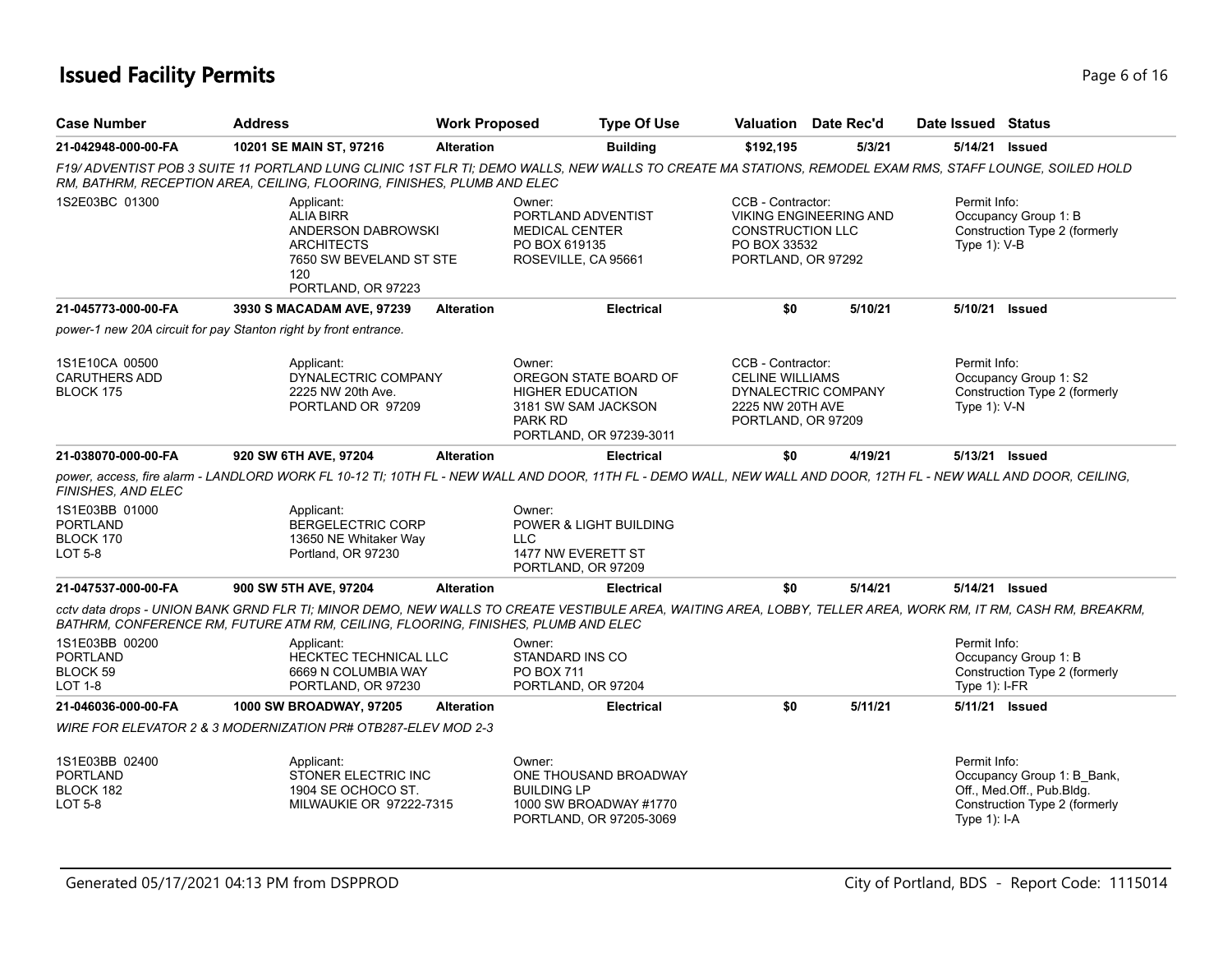# **Issued Facility Permits** Page 6 of 16

| <b>Case Number</b>                                        | <b>Address</b>                                                                                                                                                                                                                                     | <b>Work Proposed</b> | <b>Type Of Use</b>                                                                                                             |                                                                                       | <b>Valuation</b> Date Rec'd   | Date Issued Status              |                                                                                          |
|-----------------------------------------------------------|----------------------------------------------------------------------------------------------------------------------------------------------------------------------------------------------------------------------------------------------------|----------------------|--------------------------------------------------------------------------------------------------------------------------------|---------------------------------------------------------------------------------------|-------------------------------|---------------------------------|------------------------------------------------------------------------------------------|
| 21-042948-000-00-FA                                       | 10201 SE MAIN ST, 97216                                                                                                                                                                                                                            | <b>Alteration</b>    | <b>Building</b>                                                                                                                | \$192,195                                                                             | 5/3/21                        | 5/14/21 Issued                  |                                                                                          |
|                                                           | F19/ADVENTIST POB 3 SUITE 11 PORTLAND LUNG CLINIC 1ST FLR TI; DEMO WALLS, NEW WALLS TO CREATE MA STATIONS, REMODEL EXAM RMS, STAFF LOUNGE, SOILED HOLD<br>RM, BATHRM, RECEPTION AREA, CEILING, FLOORING, FINISHES, PLUMB AND ELEC                  |                      |                                                                                                                                |                                                                                       |                               |                                 |                                                                                          |
| 1S2E03BC 01300                                            | Applicant:<br><b>ALIA BIRR</b><br>ANDERSON DABROWSKI<br><b>ARCHITECTS</b><br>7650 SW BEVELAND ST STE<br>120<br>PORTLAND, OR 97223                                                                                                                  |                      | Owner:<br>PORTLAND ADVENTIST<br><b>MEDICAL CENTER</b><br>PO BOX 619135<br>ROSEVILLE, CA 95661                                  | CCB - Contractor:<br><b>CONSTRUCTION LLC</b><br>PO BOX 33532<br>PORTLAND, OR 97292    | <b>VIKING ENGINEERING AND</b> | Permit Info:<br>Type $1$ : V-B  | Occupancy Group 1: B<br>Construction Type 2 (formerly                                    |
| 21-045773-000-00-FA                                       | 3930 S MACADAM AVE, 97239                                                                                                                                                                                                                          | <b>Alteration</b>    | <b>Electrical</b>                                                                                                              | \$0                                                                                   | 5/10/21                       | 5/10/21 Issued                  |                                                                                          |
|                                                           | power-1 new 20A circuit for pay Stanton right by front entrance.                                                                                                                                                                                   |                      |                                                                                                                                |                                                                                       |                               |                                 |                                                                                          |
| 1S1E10CA 00500<br><b>CARUTHERS ADD</b><br>BLOCK 175       | Applicant:<br>DYNALECTRIC COMPANY<br>2225 NW 20th Ave.<br>PORTLAND OR 97209                                                                                                                                                                        |                      | Owner:<br>OREGON STATE BOARD OF<br><b>HIGHER EDUCATION</b><br>3181 SW SAM JACKSON<br><b>PARK RD</b><br>PORTLAND, OR 97239-3011 | CCB - Contractor:<br><b>CELINE WILLIAMS</b><br>2225 NW 20TH AVE<br>PORTLAND, OR 97209 | DYNALECTRIC COMPANY           | Permit Info:<br>Type 1): V-N    | Occupancy Group 1: S2<br>Construction Type 2 (formerly                                   |
| 21-038070-000-00-FA                                       | 920 SW 6TH AVE, 97204                                                                                                                                                                                                                              | <b>Alteration</b>    | <b>Electrical</b>                                                                                                              | \$0                                                                                   | 4/19/21                       | 5/13/21 Issued                  |                                                                                          |
| <b>FINISHES, AND ELEC</b>                                 | power, access, fire alarm - LANDLORD WORK FL 10-12 TI; 10TH FL - NEW WALL AND DOOR, 11TH FL - DEMO WALL, NEW WALL AND DOOR, 12TH FL - NEW WALL AND DOOR, CEILING,                                                                                  |                      |                                                                                                                                |                                                                                       |                               |                                 |                                                                                          |
| 1S1E03BB 01000<br>PORTLAND<br>BLOCK 170<br><b>LOT 5-8</b> | Applicant:<br><b>BERGELECTRIC CORP</b><br>13650 NE Whitaker Way<br>Portland, OR 97230                                                                                                                                                              |                      | Owner:<br><b>POWER &amp; LIGHT BUILDING</b><br><b>LLC</b><br>1477 NW EVERETT ST<br>PORTLAND, OR 97209                          |                                                                                       |                               |                                 |                                                                                          |
| 21-047537-000-00-FA                                       | 900 SW 5TH AVE, 97204                                                                                                                                                                                                                              | <b>Alteration</b>    | <b>Electrical</b>                                                                                                              | \$0                                                                                   | 5/14/21                       | 5/14/21 Issued                  |                                                                                          |
|                                                           | cctv data drops - UNION BANK GRND FLR TI; MINOR DEMO, NEW WALLS TO CREATE VESTIBULE AREA, WAITING AREA, LOBBY, TELLER AREA, WORK RM, IT RM, CASH RM, BREAKRM,<br>BATHRM, CONFERENCE RM, FUTURE ATM RM, CEILING, FLOORING, FINISHES, PLUMB AND ELEC |                      |                                                                                                                                |                                                                                       |                               |                                 |                                                                                          |
| 1S1E03BB 00200<br><b>PORTLAND</b><br>BLOCK 59<br>LOT 1-8  | Applicant:<br>HECKTEC TECHNICAL LLC<br>6669 N COLUMBIA WAY<br>PORTLAND, OR 97230                                                                                                                                                                   |                      | Owner:<br>STANDARD INS CO<br><b>PO BOX 711</b><br>PORTLAND, OR 97204                                                           |                                                                                       |                               | Permit Info:<br>Type $1$ : I-FR | Occupancy Group 1: B<br>Construction Type 2 (formerly                                    |
| 21-046036-000-00-FA                                       | 1000 SW BROADWAY, 97205                                                                                                                                                                                                                            | <b>Alteration</b>    | <b>Electrical</b>                                                                                                              | \$0                                                                                   | 5/11/21                       |                                 | 5/11/21 Issued                                                                           |
|                                                           | WIRE FOR ELEVATOR 2 & 3 MODERNIZATION PR# OTB287-ELEV MOD 2-3                                                                                                                                                                                      |                      |                                                                                                                                |                                                                                       |                               |                                 |                                                                                          |
| 1S1E03BB 02400<br><b>PORTLAND</b><br>BLOCK 182<br>LOT 5-8 | Applicant:<br>STONER ELECTRIC INC<br>1904 SE OCHOCO ST.<br>MILWAUKIE OR 97222-7315                                                                                                                                                                 |                      | Owner:<br>ONE THOUSAND BROADWAY<br><b>BUILDING LP</b><br>1000 SW BROADWAY #1770<br>PORTLAND, OR 97205-3069                     |                                                                                       |                               | Permit Info:<br>Type $1$ : I-A  | Occupancy Group 1: B_Bank,<br>Off., Med.Off., Pub.Bldg.<br>Construction Type 2 (formerly |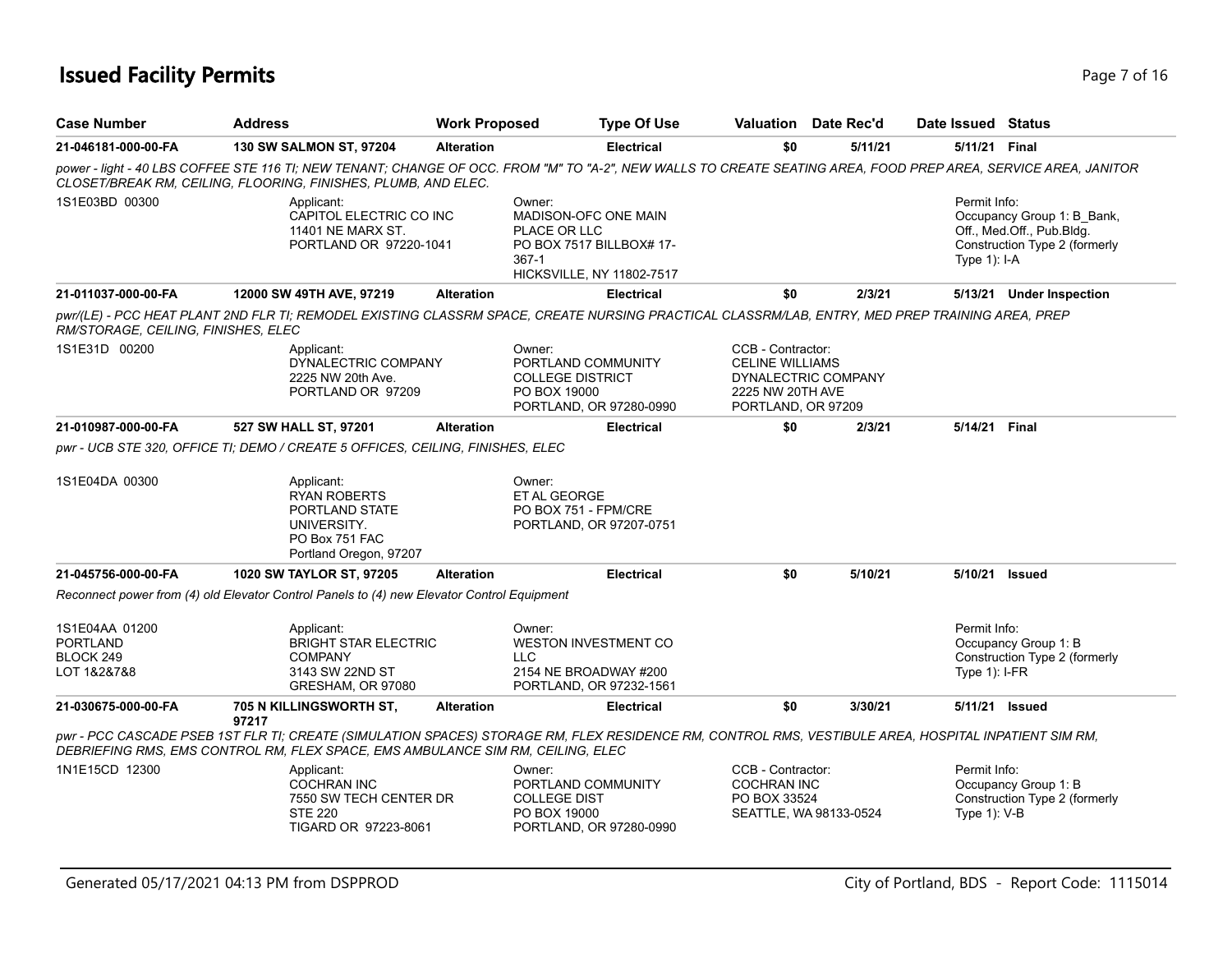# **Issued Facility Permits** Page 7 of 16

| <b>Case Number</b>                                     | <b>Address</b>                                                                                                                                                                                                                          | <b>Work Proposed</b> | <b>Type Of Use</b>                                                                                                 | Valuation Date Rec'd                                                                                         |         | Date Issued Status               |                                                                                          |
|--------------------------------------------------------|-----------------------------------------------------------------------------------------------------------------------------------------------------------------------------------------------------------------------------------------|----------------------|--------------------------------------------------------------------------------------------------------------------|--------------------------------------------------------------------------------------------------------------|---------|----------------------------------|------------------------------------------------------------------------------------------|
| 21-046181-000-00-FA                                    | 130 SW SALMON ST, 97204                                                                                                                                                                                                                 | <b>Alteration</b>    | <b>Electrical</b>                                                                                                  | \$0                                                                                                          | 5/11/21 | 5/11/21 Final                    |                                                                                          |
|                                                        | power - light - 40 LBS COFFEE STE 116 TI; NEW TENANT; CHANGE OF OCC. FROM "M" TO "A-2", NEW WALLS TO CREATE SEATING AREA, FOOD PREP AREA, SERVICE AREA, JANITOR<br>CLOSET/BREAK RM, CEILING, FLOORING, FINISHES, PLUMB, AND ELEC.       |                      |                                                                                                                    |                                                                                                              |         |                                  |                                                                                          |
| 1S1E03BD 00300                                         | Applicant:<br>CAPITOL ELECTRIC CO INC<br><b>11401 NE MARX ST.</b><br>PORTLAND OR 97220-1041                                                                                                                                             |                      | Owner:<br>MADISON-OFC ONE MAIN<br>PLACE OR LLC<br>PO BOX 7517 BILLBOX# 17-<br>$367-1$<br>HICKSVILLE, NY 11802-7517 |                                                                                                              |         | Permit Info:<br>Type $1$ ): I-A  | Occupancy Group 1: B Bank,<br>Off., Med.Off., Pub.Bldg.<br>Construction Type 2 (formerly |
| 21-011037-000-00-FA                                    | 12000 SW 49TH AVE, 97219                                                                                                                                                                                                                | <b>Alteration</b>    | <b>Electrical</b>                                                                                                  | \$0                                                                                                          | 2/3/21  |                                  | 5/13/21 Under Inspection                                                                 |
| RM/STORAGE, CEILING, FINISHES, ELEC                    | pwr/(LE) - PCC HEAT PLANT 2ND FLR TI; REMODEL EXISTING CLASSRM SPACE, CREATE NURSING PRACTICAL CLASSRM/LAB, ENTRY, MED PREP TRAINING AREA, PREP                                                                                         |                      |                                                                                                                    |                                                                                                              |         |                                  |                                                                                          |
| 1S1E31D 00200                                          | Applicant:<br>DYNALECTRIC COMPANY<br>2225 NW 20th Ave.<br>PORTLAND OR 97209                                                                                                                                                             |                      | Owner:<br>PORTLAND COMMUNITY<br><b>COLLEGE DISTRICT</b><br>PO BOX 19000<br>PORTLAND, OR 97280-0990                 | CCB - Contractor:<br><b>CELINE WILLIAMS</b><br>DYNALECTRIC COMPANY<br>2225 NW 20TH AVE<br>PORTLAND, OR 97209 |         |                                  |                                                                                          |
| 21-010987-000-00-FA                                    | 527 SW HALL ST, 97201                                                                                                                                                                                                                   | <b>Alteration</b>    | <b>Electrical</b>                                                                                                  | \$0                                                                                                          | 2/3/21  | 5/14/21 Final                    |                                                                                          |
|                                                        | pwr - UCB STE 320, OFFICE TI; DEMO / CREATE 5 OFFICES, CEILING, FINISHES, ELEC                                                                                                                                                          |                      |                                                                                                                    |                                                                                                              |         |                                  |                                                                                          |
| 1S1E04DA 00300                                         | Applicant:<br><b>RYAN ROBERTS</b><br>PORTLAND STATE<br>UNIVERSITY.<br>PO Box 751 FAC<br>Portland Oregon, 97207                                                                                                                          |                      | Owner:<br>ET AL GEORGE<br>PO BOX 751 - FPM/CRE<br>PORTLAND, OR 97207-0751                                          |                                                                                                              |         |                                  |                                                                                          |
| 21-045756-000-00-FA                                    | 1020 SW TAYLOR ST, 97205                                                                                                                                                                                                                | <b>Alteration</b>    | <b>Electrical</b>                                                                                                  | \$0                                                                                                          | 5/10/21 |                                  | 5/10/21 Issued                                                                           |
|                                                        | Reconnect power from (4) old Elevator Control Panels to (4) new Elevator Control Equipment                                                                                                                                              |                      |                                                                                                                    |                                                                                                              |         |                                  |                                                                                          |
| 1S1E04AA 01200<br>PORTLAND<br>BLOCK 249<br>LOT 1&2&7&8 | Applicant:<br><b>BRIGHT STAR ELECTRIC</b><br><b>COMPANY</b><br>3143 SW 22ND ST<br>GRESHAM, OR 97080                                                                                                                                     |                      | Owner:<br><b>WESTON INVESTMENT CO</b><br><b>LLC</b><br>2154 NE BROADWAY #200<br>PORTLAND, OR 97232-1561            |                                                                                                              |         | Permit Info:<br>Type $1$ ): I-FR | Occupancy Group 1: B<br>Construction Type 2 (formerly                                    |
| 21-030675-000-00-FA                                    | 705 N KILLINGSWORTH ST,<br>97217                                                                                                                                                                                                        | <b>Alteration</b>    | <b>Electrical</b>                                                                                                  | \$0                                                                                                          | 3/30/21 |                                  | 5/11/21 Issued                                                                           |
|                                                        | pwr - PCC CASCADE PSEB 1ST FLR TI; CREATE (SIMULATION SPACES) STORAGE RM, FLEX RESIDENCE RM, CONTROL RMS, VESTIBULE AREA, HOSPITAL INPATIENT SIM RM,<br>DEBRIEFING RMS, EMS CONTROL RM, FLEX SPACE, EMS AMBULANCE SIM RM, CEILING, ELEC |                      |                                                                                                                    |                                                                                                              |         |                                  |                                                                                          |
| 1N1E15CD 12300                                         | Applicant:<br><b>COCHRAN INC</b><br>7550 SW TECH CENTER DR<br><b>STE 220</b><br>TIGARD OR 97223-8061                                                                                                                                    |                      | Owner:<br>PORTLAND COMMUNITY<br><b>COLLEGE DIST</b><br>PO BOX 19000<br>PORTLAND, OR 97280-0990                     | CCB - Contractor:<br><b>COCHRAN INC</b><br>PO BOX 33524<br>SEATTLE, WA 98133-0524                            |         | Permit Info:<br>Type $1$ ): V-B  | Occupancy Group 1: B<br>Construction Type 2 (formerly                                    |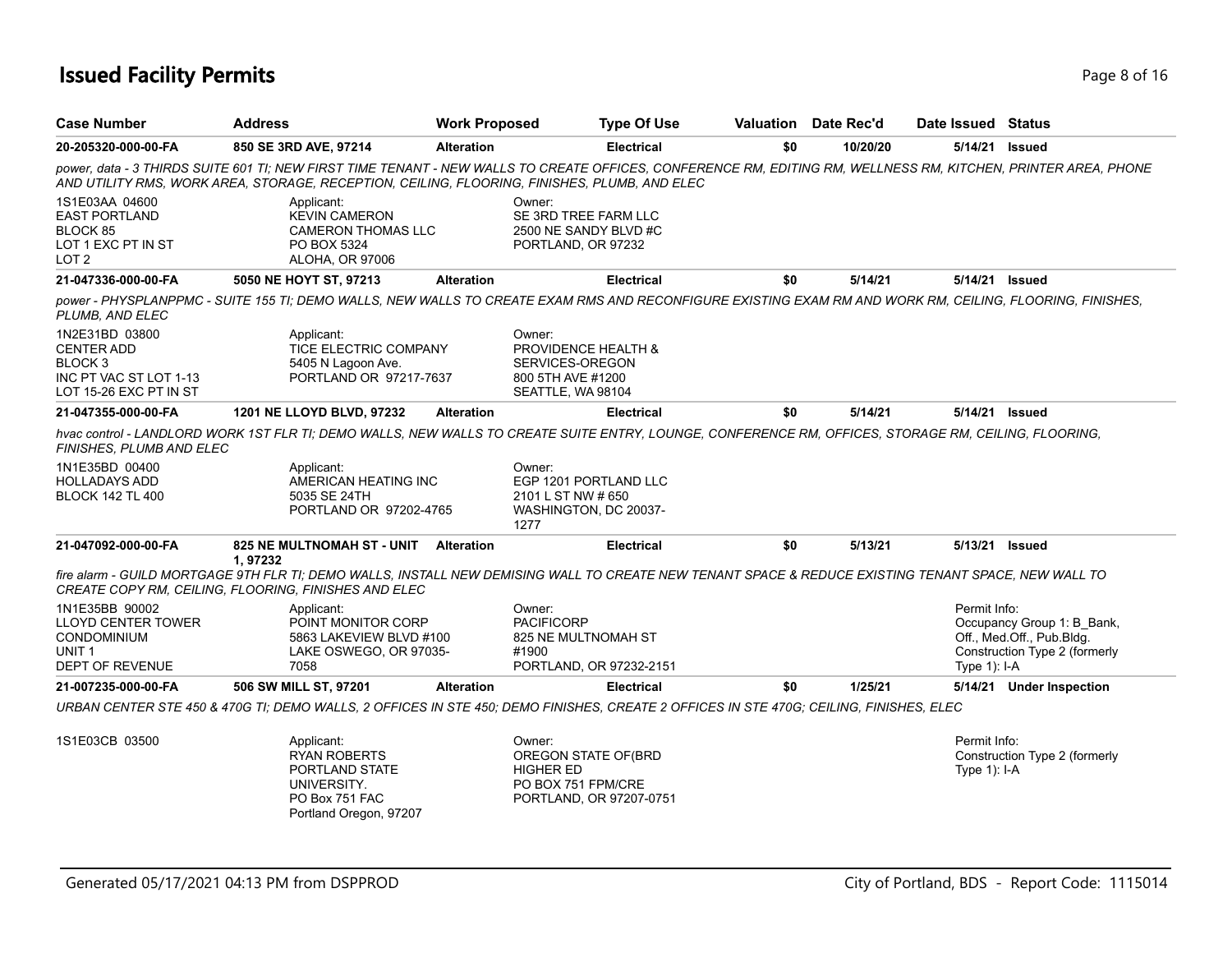# **Issued Facility Permits** Page 8 of 16

| Case Number                                                                                                   | <b>Address</b>                                                                                                                                                                                                                                                 | <b>Work Proposed</b> | <b>Type Of Use</b>                                                                                  |     | <b>Valuation</b> Date Rec'd | Date Issued                    | Status                                                                                   |
|---------------------------------------------------------------------------------------------------------------|----------------------------------------------------------------------------------------------------------------------------------------------------------------------------------------------------------------------------------------------------------------|----------------------|-----------------------------------------------------------------------------------------------------|-----|-----------------------------|--------------------------------|------------------------------------------------------------------------------------------|
| 20-205320-000-00-FA                                                                                           | 850 SE 3RD AVE, 97214                                                                                                                                                                                                                                          | <b>Alteration</b>    | <b>Electrical</b>                                                                                   | \$0 | 10/20/20                    | 5/14/21                        | Issued                                                                                   |
|                                                                                                               | power, data - 3 THIRDS SUITE 601 TI; NEW FIRST TIME TENANT - NEW WALLS TO CREATE OFFICES, CONFERENCE RM, EDITING RM, WELLNESS RM, KITCHEN, PRINTER AREA, PHONE<br>AND UTILITY RMS. WORK AREA. STORAGE. RECEPTION. CEILING. FLOORING. FINISHES. PLUMB. AND ELEC |                      |                                                                                                     |     |                             |                                |                                                                                          |
| 1S1E03AA 04600<br><b>EAST PORTLAND</b><br>BLOCK 85<br>LOT 1 EXC PT IN ST<br>LOT <sub>2</sub>                  | Applicant:<br><b>KEVIN CAMERON</b><br><b>CAMERON THOMAS LLC</b><br>PO BOX 5324<br>ALOHA, OR 97006                                                                                                                                                              |                      | Owner:<br>SE 3RD TREE FARM LLC<br>2500 NE SANDY BLVD #C<br>PORTLAND, OR 97232                       |     |                             |                                |                                                                                          |
| 21-047336-000-00-FA                                                                                           | 5050 NE HOYT ST, 97213                                                                                                                                                                                                                                         | <b>Alteration</b>    | <b>Electrical</b>                                                                                   | \$0 | 5/14/21                     | 5/14/21 Issued                 |                                                                                          |
| PLUMB. AND ELEC                                                                                               | power - PHYSPLANPPMC - SUITE 155 TI; DEMO WALLS, NEW WALLS TO CREATE EXAM RMS AND RECONFIGURE EXISTING EXAM RM AND WORK RM, CEILING, FLOORING, FINISHES,                                                                                                       |                      |                                                                                                     |     |                             |                                |                                                                                          |
| 1N2E31BD 03800<br><b>CENTER ADD</b><br>BLOCK <sub>3</sub><br>INC PT VAC ST LOT 1-13<br>LOT 15-26 EXC PT IN ST | Applicant:<br><b>TICE ELECTRIC COMPANY</b><br>5405 N Lagoon Ave.<br>PORTLAND OR 97217-7637                                                                                                                                                                     |                      | Owner:<br>PROVIDENCE HEALTH &<br>SERVICES-OREGON<br>800 5TH AVE #1200<br>SEATTLE, WA 98104          |     |                             |                                |                                                                                          |
| 21-047355-000-00-FA                                                                                           | 1201 NE LLOYD BLVD, 97232                                                                                                                                                                                                                                      | <b>Alteration</b>    | <b>Electrical</b>                                                                                   | \$0 | 5/14/21                     | 5/14/21 Issued                 |                                                                                          |
| FINISHES. PLUMB AND ELEC                                                                                      | hvac control - LANDLORD WORK 1ST FLR TI; DEMO WALLS, NEW WALLS TO CREATE SUITE ENTRY, LOUNGE, CONFERENCE RM, OFFICES, STORAGE RM, CEILING, FLOORING,                                                                                                           |                      |                                                                                                     |     |                             |                                |                                                                                          |
| 1N1E35BD 00400<br>HOLLADAYS ADD<br><b>BLOCK 142 TL 400</b>                                                    | Applicant:<br>AMERICAN HEATING INC<br>5035 SE 24TH<br>PORTLAND OR 97202-4765                                                                                                                                                                                   | 1277                 | Owner:<br>EGP 1201 PORTLAND LLC<br>2101 L ST NW # 650<br>WASHINGTON, DC 20037-                      |     |                             |                                |                                                                                          |
| 21-047092-000-00-FA                                                                                           | <b>825 NE MULTNOMAH ST - UNIT</b>                                                                                                                                                                                                                              | <b>Alteration</b>    | <b>Electrical</b>                                                                                   | \$0 | 5/13/21                     | 5/13/21                        | <b>Issued</b>                                                                            |
|                                                                                                               | 1,97232<br>fire alarm - GUILD MORTGAGE 9TH FLR TI; DEMO WALLS, INSTALL NEW DEMISING WALL TO CREATE NEW TENANT SPACE & REDUCE EXISTING TENANT SPACE, NEW WALL TO<br>CREATE COPY RM, CEILING, FLOORING, FINISHES AND ELEC                                        |                      |                                                                                                     |     |                             |                                |                                                                                          |
| 1N1E35BB 90002<br><b>LLOYD CENTER TOWER</b><br><b>CONDOMINIUM</b><br>UNIT <sub>1</sub><br>DEPT OF REVENUE     | Applicant:<br>POINT MONITOR CORP<br>5863 LAKEVIEW BLVD #100<br>LAKE OSWEGO, OR 97035-<br>7058                                                                                                                                                                  | #1900                | Owner:<br><b>PACIFICORP</b><br>825 NE MULTNOMAH ST<br>PORTLAND, OR 97232-2151                       |     |                             | Permit Info:<br>Type $1$ : I-A | Occupancy Group 1: B_Bank,<br>Off., Med.Off., Pub.Bldg.<br>Construction Type 2 (formerly |
| 21-007235-000-00-FA                                                                                           | 506 SW MILL ST, 97201                                                                                                                                                                                                                                          | <b>Alteration</b>    | <b>Electrical</b>                                                                                   | \$0 | 1/25/21                     |                                | 5/14/21 Under Inspection                                                                 |
|                                                                                                               | URBAN CENTER STE 450 & 470G TI; DEMO WALLS, 2 OFFICES IN STE 450; DEMO FINISHES, CREATE 2 OFFICES IN STE 470G; CEILING, FINISHES, ELEC                                                                                                                         |                      |                                                                                                     |     |                             |                                |                                                                                          |
| 1S1E03CB 03500                                                                                                | Applicant:<br><b>RYAN ROBERTS</b><br>PORTLAND STATE<br>UNIVERSITY.<br>PO Box 751 FAC<br>Portland Oregon, 97207                                                                                                                                                 |                      | Owner:<br>OREGON STATE OF (BRD<br><b>HIGHER ED</b><br>PO BOX 751 FPM/CRE<br>PORTLAND, OR 97207-0751 |     |                             | Permit Info:<br>Type $1$ : I-A | Construction Type 2 (formerly                                                            |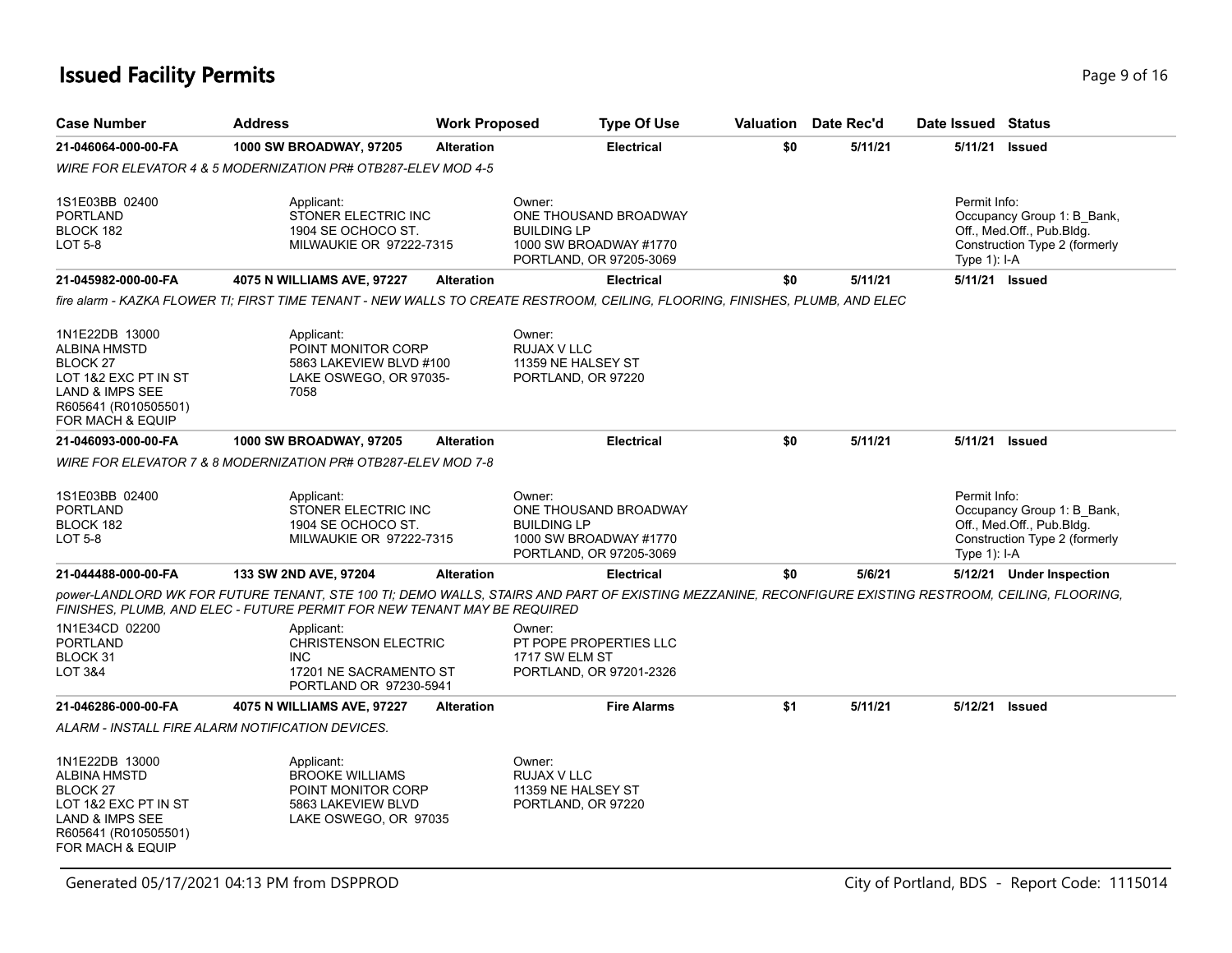# **Issued Facility Permits** Page 16 and **Page 9 of 16**

| <b>Case Number</b>                                                                                                                                  | <b>Address</b>                                                                                              | <b>Work Proposed</b> | <b>Type Of Use</b>                                                                                                                                    | Valuation | Date Rec'd | Date Issued Status              |                                                                                          |
|-----------------------------------------------------------------------------------------------------------------------------------------------------|-------------------------------------------------------------------------------------------------------------|----------------------|-------------------------------------------------------------------------------------------------------------------------------------------------------|-----------|------------|---------------------------------|------------------------------------------------------------------------------------------|
| 21-046064-000-00-FA                                                                                                                                 | 1000 SW BROADWAY, 97205                                                                                     | <b>Alteration</b>    | <b>Electrical</b>                                                                                                                                     | \$0       | 5/11/21    | 5/11/21                         | <b>Issued</b>                                                                            |
|                                                                                                                                                     | WIRE FOR ELEVATOR 4 & 5 MODERNIZATION PR# OTB287-ELEV MOD 4-5                                               |                      |                                                                                                                                                       |           |            |                                 |                                                                                          |
| 1S1E03BB 02400<br><b>PORTLAND</b><br>BLOCK 182<br>LOT 5-8                                                                                           | Applicant:<br>STONER ELECTRIC INC<br>1904 SE OCHOCO ST.<br>MILWAUKIE OR 97222-7315                          |                      | Owner:<br>ONE THOUSAND BROADWAY<br><b>BUILDING LP</b><br>1000 SW BROADWAY #1770<br>PORTLAND, OR 97205-3069                                            |           |            | Permit Info:<br>Type $1$ : I-A  | Occupancy Group 1: B Bank,<br>Off., Med.Off., Pub.Bldg.<br>Construction Type 2 (formerly |
| 21-045982-000-00-FA                                                                                                                                 | 4075 N WILLIAMS AVE, 97227                                                                                  | <b>Alteration</b>    | <b>Electrical</b>                                                                                                                                     | \$0       | 5/11/21    | 5/11/21 Issued                  |                                                                                          |
|                                                                                                                                                     |                                                                                                             |                      | fire alarm - KAZKA FLOWER TI; FIRST TIME TENANT - NEW WALLS TO CREATE RESTROOM, CEILING, FLOORING, FINISHES, PLUMB, AND ELEC                          |           |            |                                 |                                                                                          |
| 1N1E22DB 13000<br><b>ALBINA HMSTD</b><br>BLOCK <sub>27</sub><br>LOT 1&2 EXC PT IN ST<br>LAND & IMPS SEE<br>R605641 (R010505501)<br>FOR MACH & EQUIP | Applicant:<br>POINT MONITOR CORP<br>5863 LAKEVIEW BLVD #100<br>LAKE OSWEGO, OR 97035-<br>7058               |                      | Owner:<br><b>RUJAX V LLC</b><br>11359 NE HALSEY ST<br>PORTLAND, OR 97220                                                                              |           |            |                                 |                                                                                          |
| 21-046093-000-00-FA                                                                                                                                 | <b>1000 SW BROADWAY, 97205</b>                                                                              | <b>Alteration</b>    | <b>Electrical</b>                                                                                                                                     | \$0       | 5/11/21    | 5/11/21 Issued                  |                                                                                          |
|                                                                                                                                                     | WIRE FOR ELEVATOR 7 & 8 MODERNIZATION PR# OTB287-ELEV MOD 7-8                                               |                      |                                                                                                                                                       |           |            |                                 |                                                                                          |
| 1S1E03BB 02400<br><b>PORTLAND</b><br>BLOCK 182<br><b>LOT 5-8</b>                                                                                    | Applicant:<br>STONER ELECTRIC INC<br>1904 SE OCHOCO ST.<br><b>MILWAUKIE OR 97222-7315</b>                   |                      | Owner:<br>ONE THOUSAND BROADWAY<br><b>BUILDING LP</b><br>1000 SW BROADWAY #1770<br>PORTLAND, OR 97205-3069                                            |           |            | Permit Info:<br>Type $1$ ): I-A | Occupancy Group 1: B Bank,<br>Off., Med.Off., Pub.Bldg.<br>Construction Type 2 (formerly |
| 21-044488-000-00-FA                                                                                                                                 | 133 SW 2ND AVE, 97204                                                                                       | <b>Alteration</b>    | <b>Electrical</b>                                                                                                                                     | \$0       | 5/6/21     |                                 | 5/12/21 Under Inspection                                                                 |
|                                                                                                                                                     | FINISHES, PLUMB, AND ELEC - FUTURE PERMIT FOR NEW TENANT MAY BE REQUIRED                                    |                      | power-LANDLORD WK FOR FUTURE TENANT, STE 100 TI; DEMO WALLS, STAIRS AND PART OF EXISTING MEZZANINE, RECONFIGURE EXISTING RESTROOM, CEILING, FLOORING, |           |            |                                 |                                                                                          |
| 1N1E34CD 02200<br><b>PORTLAND</b><br>BLOCK 31<br>LOT 3&4                                                                                            | Applicant:<br><b>CHRISTENSON ELECTRIC</b><br><b>INC</b><br>17201 NE SACRAMENTO ST<br>PORTLAND OR 97230-5941 |                      | Owner:<br>PT POPE PROPERTIES LLC<br>1717 SW ELM ST<br>PORTLAND, OR 97201-2326                                                                         |           |            |                                 |                                                                                          |
| 21-046286-000-00-FA                                                                                                                                 | 4075 N WILLIAMS AVE, 97227                                                                                  | <b>Alteration</b>    | <b>Fire Alarms</b>                                                                                                                                    | \$1       | 5/11/21    | 5/12/21                         | <b>Issued</b>                                                                            |
|                                                                                                                                                     | ALARM - INSTALL FIRE ALARM NOTIFICATION DEVICES.                                                            |                      |                                                                                                                                                       |           |            |                                 |                                                                                          |
| 1N1E22DB 13000<br><b>ALBINA HMSTD</b><br>BLOCK <sub>27</sub><br>LOT 1&2 EXC PT IN ST<br>LAND & IMPS SEE<br>R605641 (R010505501)<br>FOR MACH & EQUIP | Applicant:<br><b>BROOKE WILLIAMS</b><br>POINT MONITOR CORP<br>5863 LAKEVIEW BLVD<br>LAKE OSWEGO, OR 97035   |                      | Owner:<br>RUJAX V LLC<br>11359 NE HALSEY ST<br>PORTLAND, OR 97220                                                                                     |           |            |                                 |                                                                                          |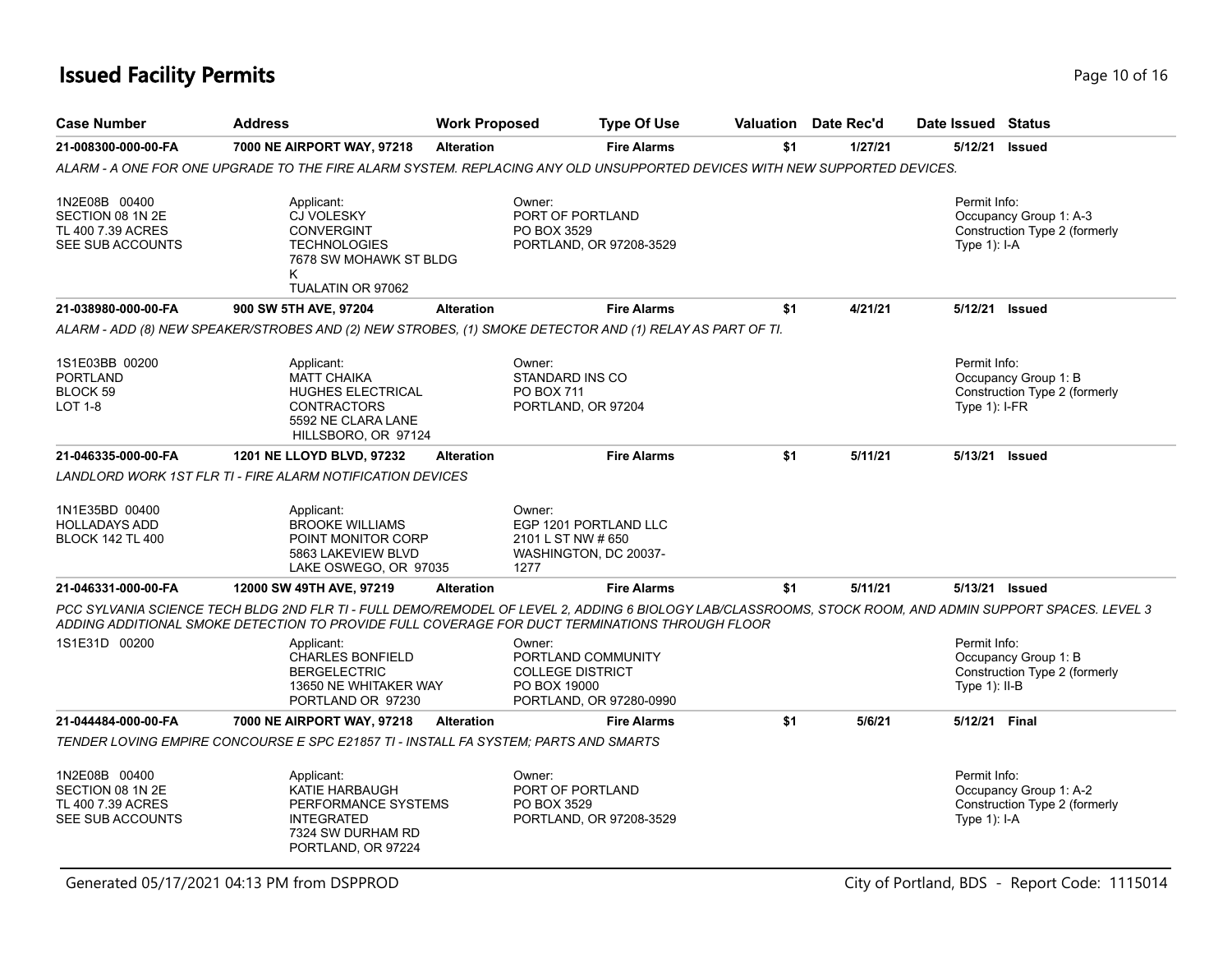# **Issued Facility Permits Page 10 of 16**

| <b>Case Number</b>                                                         | <b>Address</b>                                                                                                                                                                                                                                             | <b>Work Proposed</b> | <b>Type Of Use</b>                                                                                 |     | <b>Valuation</b> Date Rec'd | Date Issued Status              |                                                         |
|----------------------------------------------------------------------------|------------------------------------------------------------------------------------------------------------------------------------------------------------------------------------------------------------------------------------------------------------|----------------------|----------------------------------------------------------------------------------------------------|-----|-----------------------------|---------------------------------|---------------------------------------------------------|
| 21-008300-000-00-FA                                                        | 7000 NE AIRPORT WAY, 97218                                                                                                                                                                                                                                 | <b>Alteration</b>    | <b>Fire Alarms</b>                                                                                 | \$1 | 1/27/21                     | 5/12/21                         | <b>Issued</b>                                           |
|                                                                            | ALARM - A ONE FOR ONE UPGRADE TO THE FIRE ALARM SYSTEM. REPLACING ANY OLD UNSUPPORTED DEVICES WITH NEW SUPPORTED DEVICES.                                                                                                                                  |                      |                                                                                                    |     |                             |                                 |                                                         |
| 1N2E08B 00400<br>SECTION 08 1N 2E<br>TL 400 7.39 ACRES<br>SEE SUB ACCOUNTS | Applicant:<br><b>CJ VOLESKY</b><br><b>CONVERGINT</b><br><b>TECHNOLOGIES</b><br>7678 SW MOHAWK ST BLDG<br>Κ<br>TUALATIN OR 97062                                                                                                                            |                      | Owner:<br>PORT OF PORTLAND<br>PO BOX 3529<br>PORTLAND, OR 97208-3529                               |     |                             | Permit Info:<br>Type $1$ : I-A  | Occupancy Group 1: A-3<br>Construction Type 2 (formerly |
| 21-038980-000-00-FA                                                        | 900 SW 5TH AVE, 97204                                                                                                                                                                                                                                      | <b>Alteration</b>    | <b>Fire Alarms</b>                                                                                 | \$1 | 4/21/21                     |                                 | 5/12/21 Issued                                          |
|                                                                            | ALARM - ADD (8) NEW SPEAKER/STROBES AND (2) NEW STROBES, (1) SMOKE DETECTOR AND (1) RELAY AS PART OF TI.                                                                                                                                                   |                      |                                                                                                    |     |                             |                                 |                                                         |
| 1S1E03BB 00200<br><b>PORTLAND</b><br>BLOCK 59<br><b>LOT 1-8</b>            | Applicant:<br><b>MATT CHAIKA</b><br><b>HUGHES ELECTRICAL</b><br><b>CONTRACTORS</b><br>5592 NE CLARA LANE<br>HILLSBORO, OR 97124                                                                                                                            |                      | Owner:<br>STANDARD INS CO<br>PO BOX 711<br>PORTLAND, OR 97204                                      |     |                             | Permit Info:<br>Type $1$ : I-FR | Occupancy Group 1: B<br>Construction Type 2 (formerly   |
| 21-046335-000-00-FA                                                        | 1201 NE LLOYD BLVD, 97232                                                                                                                                                                                                                                  | <b>Alteration</b>    | <b>Fire Alarms</b>                                                                                 | \$1 | 5/11/21                     | 5/13/21                         | <b>Issued</b>                                           |
|                                                                            | <b>LANDLORD WORK 1ST FLR TI - FIRE ALARM NOTIFICATION DEVICES</b>                                                                                                                                                                                          |                      |                                                                                                    |     |                             |                                 |                                                         |
| 1N1E35BD 00400<br><b>HOLLADAYS ADD</b><br><b>BLOCK 142 TL 400</b>          | Applicant:<br><b>BROOKE WILLIAMS</b><br>POINT MONITOR CORP<br>5863 LAKEVIEW BLVD<br>LAKE OSWEGO, OR 97035                                                                                                                                                  |                      | Owner:<br>EGP 1201 PORTLAND LLC<br>2101 L ST NW # 650<br>WASHINGTON, DC 20037-<br>1277             |     |                             |                                 |                                                         |
| 21-046331-000-00-FA                                                        | 12000 SW 49TH AVE, 97219                                                                                                                                                                                                                                   | <b>Alteration</b>    | <b>Fire Alarms</b>                                                                                 | \$1 | 5/11/21                     |                                 | 5/13/21 Issued                                          |
|                                                                            | PCC SYLVANIA SCIENCE TECH BLDG 2ND FLR TI - FULL DEMO/REMODEL OF LEVEL 2, ADDING 6 BIOLOGY LAB/CLASSROOMS, STOCK ROOM, AND ADMIN SUPPORT SPACES. LEVEL 3<br>ADDING ADDITIONAL SMOKE DETECTION TO PROVIDE FULL COVERAGE FOR DUCT TERMINATIONS THROUGH FLOOR |                      |                                                                                                    |     |                             |                                 |                                                         |
| 1S1E31D 00200                                                              | Applicant:<br><b>CHARLES BONFIELD</b><br><b>BERGELECTRIC</b><br>13650 NE WHITAKER WAY<br>PORTLAND OR 97230                                                                                                                                                 |                      | Owner:<br>PORTLAND COMMUNITY<br><b>COLLEGE DISTRICT</b><br>PO BOX 19000<br>PORTLAND, OR 97280-0990 |     |                             | Permit Info:<br>Type 1): II-B   | Occupancy Group 1: B<br>Construction Type 2 (formerly   |
| 21-044484-000-00-FA                                                        | 7000 NE AIRPORT WAY, 97218                                                                                                                                                                                                                                 | <b>Alteration</b>    | <b>Fire Alarms</b>                                                                                 | \$1 | 5/6/21                      | 5/12/21 Final                   |                                                         |
|                                                                            | TENDER LOVING EMPIRE CONCOURSE E SPC E21857 TI - INSTALL FA SYSTEM: PARTS AND SMARTS                                                                                                                                                                       |                      |                                                                                                    |     |                             |                                 |                                                         |
| 1N2E08B 00400<br>SECTION 08 1N 2E<br>TL 400 7.39 ACRES<br>SEE SUB ACCOUNTS | Applicant:<br>KATIE HARBAUGH<br>PERFORMANCE SYSTEMS<br><b>INTEGRATED</b><br>7324 SW DURHAM RD<br>PORTLAND, OR 97224                                                                                                                                        |                      | Owner:<br>PORT OF PORTLAND<br>PO BOX 3529<br>PORTLAND, OR 97208-3529                               |     |                             | Permit Info:<br>Type $1$ : I-A  | Occupancy Group 1: A-2<br>Construction Type 2 (formerly |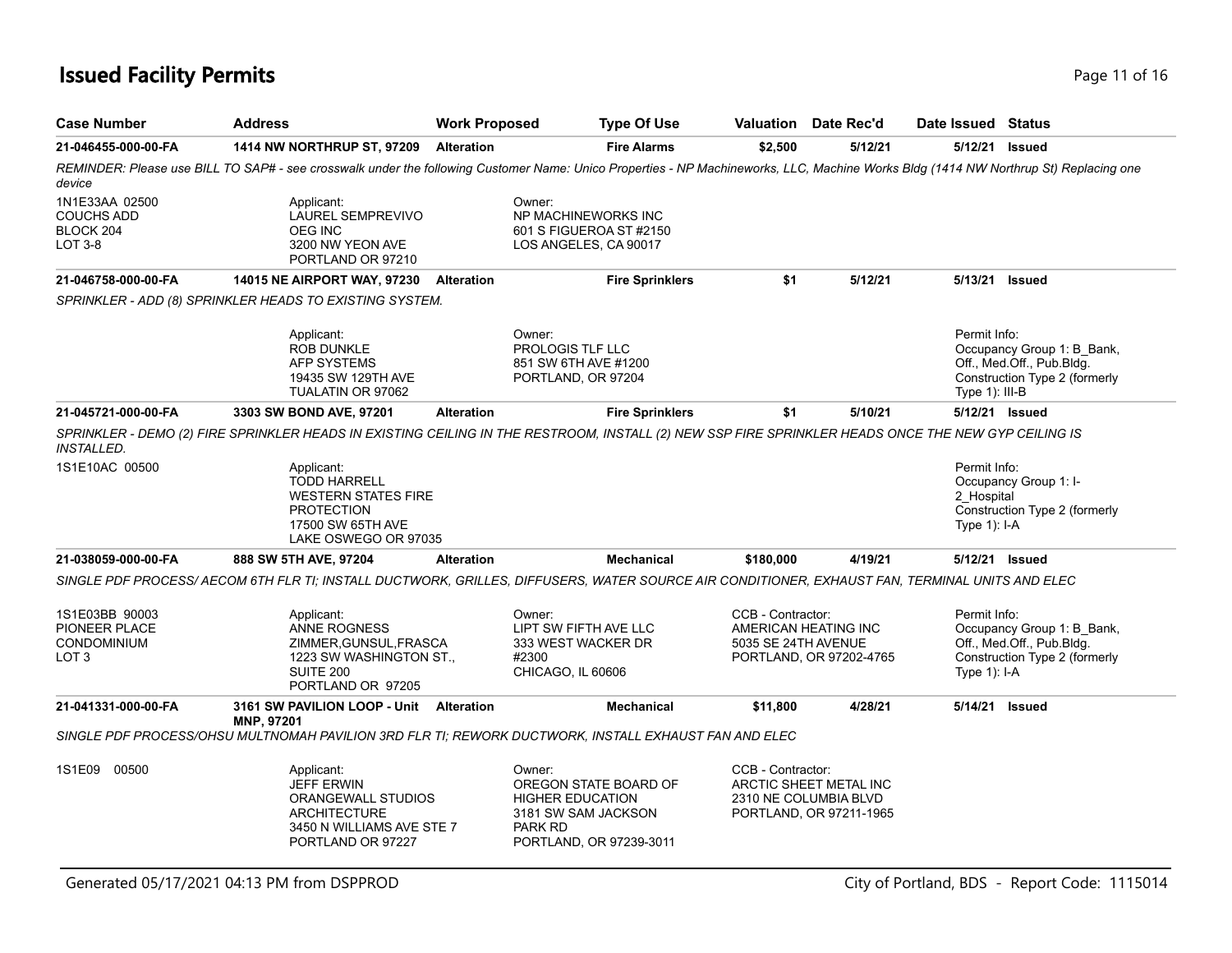# **Issued Facility Permits** Provide a strategies of the strategies of the page 11 of 16 and 16 and 16 and 16 and 16 and 16 and 16 and 16 and 16 and 16 and 16 and 16 and 16 and 16 and 16 and 16 and 16 and 16 and 16 and 16 and

| <b>Case Number</b>                                                        | <b>Address</b>                                                                                                                                                                       | <b>Work Proposed</b> |                                                                                                                                | <b>Type Of Use</b>     |                                                                  | <b>Valuation</b> Date Rec'd                       | Date Issued Status                         |                                                                                          |
|---------------------------------------------------------------------------|--------------------------------------------------------------------------------------------------------------------------------------------------------------------------------------|----------------------|--------------------------------------------------------------------------------------------------------------------------------|------------------------|------------------------------------------------------------------|---------------------------------------------------|--------------------------------------------|------------------------------------------------------------------------------------------|
| 21-046455-000-00-FA                                                       | <b>1414 NW NORTHRUP ST, 97209</b>                                                                                                                                                    | <b>Alteration</b>    |                                                                                                                                | <b>Fire Alarms</b>     | \$2,500                                                          | 5/12/21                                           |                                            | 5/12/21 Issued                                                                           |
| device                                                                    | REMINDER: Please use BILL TO SAP# - see crosswalk under the following Customer Name: Unico Properties - NP Machineworks, LLC, Machine Works Bldg (1414 NW Northrup St) Replacing one |                      |                                                                                                                                |                        |                                                                  |                                                   |                                            |                                                                                          |
| 1N1E33AA 02500<br><b>COUCHS ADD</b><br>BLOCK 204<br>LOT 3-8               | Applicant:<br><b>LAUREL SEMPREVIVO</b><br>OEG INC<br>3200 NW YEON AVE<br>PORTLAND OR 97210                                                                                           |                      | Owner:<br>NP MACHINEWORKS INC<br>601 S FIGUEROA ST #2150<br>LOS ANGELES, CA 90017                                              |                        |                                                                  |                                                   |                                            |                                                                                          |
| 21-046758-000-00-FA                                                       | <b>14015 NE AIRPORT WAY, 97230</b>                                                                                                                                                   | <b>Alteration</b>    |                                                                                                                                | <b>Fire Sprinklers</b> | \$1                                                              | 5/12/21                                           |                                            | 5/13/21 Issued                                                                           |
|                                                                           | SPRINKLER - ADD (8) SPRINKLER HEADS TO EXISTING SYSTEM.                                                                                                                              |                      |                                                                                                                                |                        |                                                                  |                                                   |                                            |                                                                                          |
|                                                                           | Applicant:<br>ROB DUNKLE<br>AFP SYSTEMS<br>19435 SW 129TH AVE<br>TUALATIN OR 97062                                                                                                   |                      | Owner:<br>PROLOGIS TLF LLC<br>851 SW 6TH AVE #1200<br>PORTLAND, OR 97204                                                       |                        |                                                                  |                                                   | Permit Info:<br>Type $1$ ): III-B          | Occupancy Group 1: B_Bank,<br>Off., Med.Off., Pub.Bldg.<br>Construction Type 2 (formerly |
| 21-045721-000-00-FA                                                       | 3303 SW BOND AVE, 97201                                                                                                                                                              | <b>Alteration</b>    |                                                                                                                                | <b>Fire Sprinklers</b> | \$1                                                              | 5/10/21                                           |                                            | 5/12/21 Issued                                                                           |
| INSTALLED.                                                                | SPRINKLER - DEMO (2) FIRE SPRINKLER HEADS IN EXISTING CEILING IN THE RESTROOM, INSTALL (2) NEW SSP FIRE SPRINKLER HEADS ONCE THE NEW GYP CEILING IS                                  |                      |                                                                                                                                |                        |                                                                  |                                                   |                                            |                                                                                          |
| 1S1E10AC 00500                                                            | Applicant:<br><b>TODD HARRELL</b><br><b>WESTERN STATES FIRE</b><br><b>PROTECTION</b><br>17500 SW 65TH AVE<br>LAKE OSWEGO OR 97035                                                    |                      |                                                                                                                                |                        |                                                                  |                                                   | Permit Info:<br>2_Hospital<br>Type 1): I-A | Occupancy Group 1: I-<br>Construction Type 2 (formerly                                   |
| 21-038059-000-00-FA                                                       | 888 SW 5TH AVE, 97204                                                                                                                                                                | <b>Alteration</b>    |                                                                                                                                | <b>Mechanical</b>      | \$180,000                                                        | 4/19/21                                           |                                            | 5/12/21 Issued                                                                           |
|                                                                           | SINGLE PDF PROCESS/ AECOM 6TH FLR TI; INSTALL DUCTWORK, GRILLES, DIFFUSERS, WATER SOURCE AIR CONDITIONER, EXHAUST FAN, TERMINAL UNITS AND ELEC                                       |                      |                                                                                                                                |                        |                                                                  |                                                   |                                            |                                                                                          |
| 1S1E03BB 90003<br>PIONEER PLACE<br><b>CONDOMINIUM</b><br>LOT <sub>3</sub> | Applicant:<br>ANNE ROGNESS<br>ZIMMER, GUNSUL, FRASCA<br>1223 SW WASHINGTON ST.,<br>SUITE 200<br>PORTLAND OR 97205                                                                    |                      | Owner:<br>LIPT SW FIFTH AVE LLC<br>333 WEST WACKER DR<br>#2300<br>CHICAGO, IL 60606                                            |                        | CCB - Contractor:<br>AMERICAN HEATING INC<br>5035 SE 24TH AVENUE | PORTLAND, OR 97202-4765                           | Permit Info:<br>Type $1$ ): I-A            | Occupancy Group 1: B_Bank,<br>Off., Med.Off., Pub.Bldg.<br>Construction Type 2 (formerly |
| 21-041331-000-00-FA                                                       | 3161 SW PAVILION LOOP - Unit Alteration<br><b>MNP, 97201</b>                                                                                                                         |                      |                                                                                                                                | <b>Mechanical</b>      | \$11,800                                                         | 4/28/21                                           |                                            | 5/14/21 Issued                                                                           |
|                                                                           | SINGLE PDF PROCESS/OHSU MULTNOMAH PAVILION 3RD FLR TI; REWORK DUCTWORK, INSTALL EXHAUST FAN AND ELEC                                                                                 |                      |                                                                                                                                |                        |                                                                  |                                                   |                                            |                                                                                          |
| 1S1E09<br>00500                                                           | Applicant:<br><b>JEFF ERWIN</b><br>ORANGEWALL STUDIOS<br><b>ARCHITECTURE</b><br>3450 N WILLIAMS AVE STE 7<br>PORTLAND OR 97227                                                       |                      | Owner:<br>OREGON STATE BOARD OF<br><b>HIGHER EDUCATION</b><br>3181 SW SAM JACKSON<br><b>PARK RD</b><br>PORTLAND, OR 97239-3011 |                        | CCB - Contractor:<br>2310 NE COLUMBIA BLVD                       | ARCTIC SHEET METAL INC<br>PORTLAND, OR 97211-1965 |                                            |                                                                                          |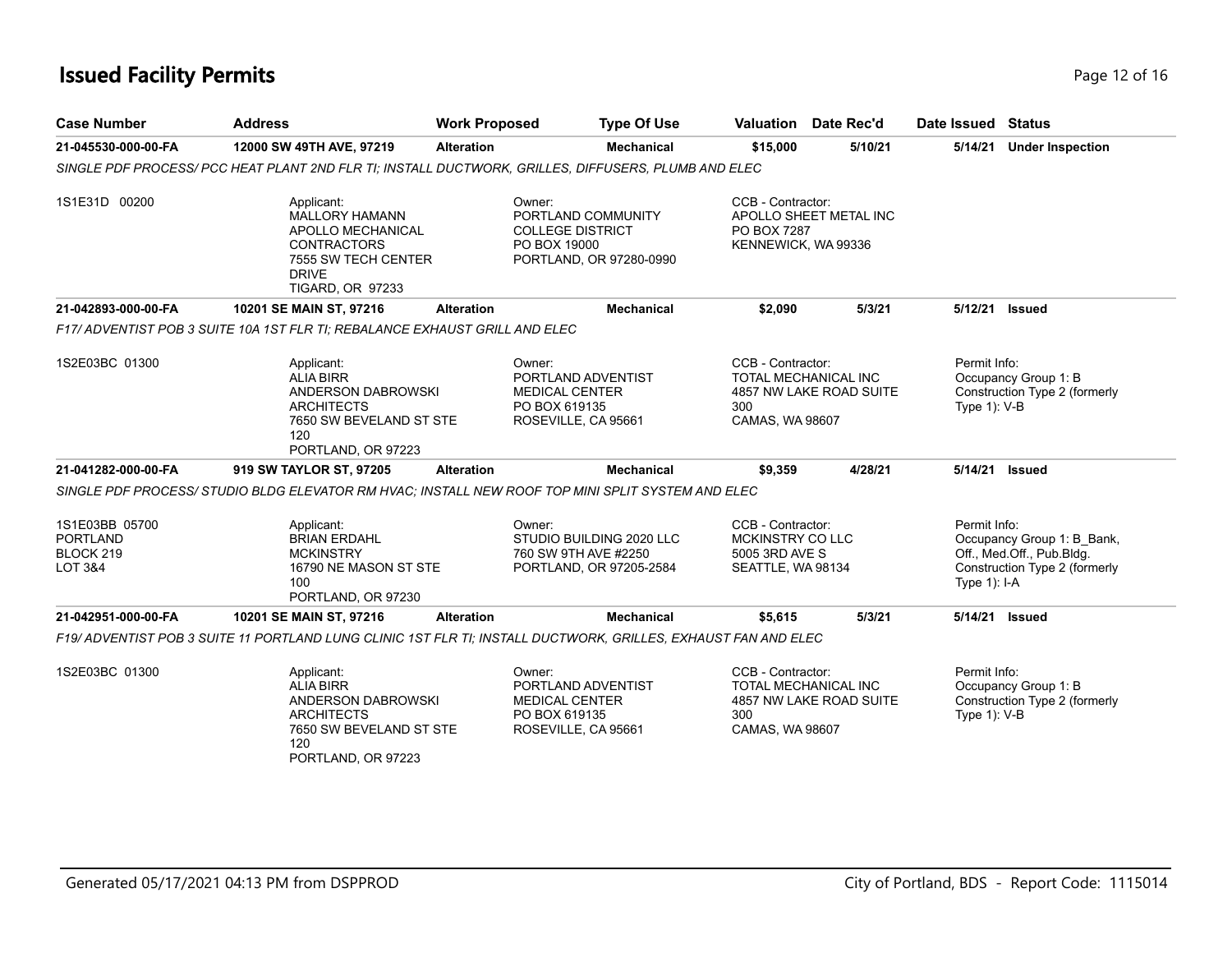# **Issued Facility Permits** Provide the Contract of 16 and 2 of 16 and 2 of 16 and 2 of 16 and 2 of 16 and 2 of 16 and 2 of 16 and 2 of 16 and 2 of 16 and 2 of 16 and 2 of 16 and 2 of 16 and 2 of 16 and 2 of 16 and 2 of 16 a

| <b>Case Number</b>                                                   | <b>Address</b>                                                                                                                            | <b>Work Proposed</b> | <b>Type Of Use</b>                                                                       |                                                                              | <b>Valuation</b> Date Rec'd | Date Issued Status             |                                                                                          |
|----------------------------------------------------------------------|-------------------------------------------------------------------------------------------------------------------------------------------|----------------------|------------------------------------------------------------------------------------------|------------------------------------------------------------------------------|-----------------------------|--------------------------------|------------------------------------------------------------------------------------------|
| 21-045530-000-00-FA                                                  | 12000 SW 49TH AVE, 97219                                                                                                                  | <b>Alteration</b>    | <b>Mechanical</b>                                                                        | \$15,000                                                                     | 5/10/21                     |                                | 5/14/21 Under Inspection                                                                 |
|                                                                      | SINGLE PDF PROCESS/ PCC HEAT PLANT 2ND FLR TI; INSTALL DUCTWORK, GRILLES, DIFFUSERS, PLUMB AND ELEC                                       |                      |                                                                                          |                                                                              |                             |                                |                                                                                          |
| 1S1E31D 00200                                                        | Applicant:<br><b>MALLORY HAMANN</b><br>APOLLO MECHANICAL<br><b>CONTRACTORS</b><br>7555 SW TECH CENTER<br><b>DRIVE</b><br>TIGARD, OR 97233 | Owner:               | PORTLAND COMMUNITY<br><b>COLLEGE DISTRICT</b><br>PO BOX 19000<br>PORTLAND, OR 97280-0990 | CCB - Contractor:<br>PO BOX 7287<br>KENNEWICK, WA 99336                      | APOLLO SHEET METAL INC      |                                |                                                                                          |
| 21-042893-000-00-FA                                                  | 10201 SE MAIN ST, 97216                                                                                                                   | <b>Alteration</b>    | <b>Mechanical</b>                                                                        | \$2,090                                                                      | 5/3/21                      |                                | 5/12/21 Issued                                                                           |
|                                                                      | F17/ ADVENTIST POB 3 SUITE 10A 1ST FLR TI: REBALANCE EXHAUST GRILL AND ELEC                                                               |                      |                                                                                          |                                                                              |                             |                                |                                                                                          |
| 1S2E03BC 01300                                                       | Applicant:<br><b>ALIA BIRR</b><br>ANDERSON DABROWSKI<br><b>ARCHITECTS</b><br>7650 SW BEVELAND ST STE<br>120<br>PORTLAND, OR 97223         | Owner:               | PORTLAND ADVENTIST<br><b>MEDICAL CENTER</b><br>PO BOX 619135<br>ROSEVILLE, CA 95661      | CCB - Contractor:<br><b>TOTAL MECHANICAL INC</b><br>300<br>CAMAS, WA 98607   | 4857 NW LAKE ROAD SUITE     | Permit Info:<br>Type 1): V-B   | Occupancy Group 1: B<br>Construction Type 2 (formerly                                    |
| 21-041282-000-00-FA                                                  | 919 SW TAYLOR ST, 97205                                                                                                                   | <b>Alteration</b>    | <b>Mechanical</b>                                                                        | \$9,359                                                                      | 4/28/21                     |                                | 5/14/21 Issued                                                                           |
|                                                                      | SINGLE PDF PROCESS/STUDIO BLDG ELEVATOR RM HVAC; INSTALL NEW ROOF TOP MINI SPLIT SYSTEM AND ELEC                                          |                      |                                                                                          |                                                                              |                             |                                |                                                                                          |
| 1S1E03BB 05700<br><b>PORTLAND</b><br>BLOCK 219<br><b>LOT 3&amp;4</b> | Applicant:<br><b>BRIAN ERDAHL</b><br><b>MCKINSTRY</b><br>16790 NE MASON ST STE<br>100<br>PORTLAND, OR 97230                               | Owner:               | STUDIO BUILDING 2020 LLC<br>760 SW 9TH AVE #2250<br>PORTLAND, OR 97205-2584              | CCB - Contractor:<br>MCKINSTRY CO LLC<br>5005 3RD AVE S<br>SEATTLE, WA 98134 |                             | Permit Info:<br>Type $1$ : I-A | Occupancy Group 1: B Bank,<br>Off., Med.Off., Pub.Bldg.<br>Construction Type 2 (formerly |
| 21-042951-000-00-FA                                                  | 10201 SE MAIN ST, 97216                                                                                                                   | <b>Alteration</b>    | <b>Mechanical</b>                                                                        | \$5,615                                                                      | 5/3/21                      |                                | 5/14/21 Issued                                                                           |
|                                                                      | F19/ ADVENTIST POB 3 SUITE 11 PORTLAND LUNG CLINIC 1ST FLR TI; INSTALL DUCTWORK, GRILLES, EXHAUST FAN AND ELEC                            |                      |                                                                                          |                                                                              |                             |                                |                                                                                          |
| 1S2E03BC 01300                                                       | Applicant:<br><b>ALIA BIRR</b><br>ANDERSON DABROWSKI<br><b>ARCHITECTS</b><br>7650 SW BEVELAND ST STE<br>120<br>PORTLAND, OR 97223         | Owner:               | PORTLAND ADVENTIST<br><b>MEDICAL CENTER</b><br>PO BOX 619135<br>ROSEVILLE, CA 95661      | CCB - Contractor:<br><b>TOTAL MECHANICAL INC</b><br>300<br>CAMAS, WA 98607   | 4857 NW LAKE ROAD SUITE     | Permit Info:<br>Type 1): V-B   | Occupancy Group 1: B<br>Construction Type 2 (formerly                                    |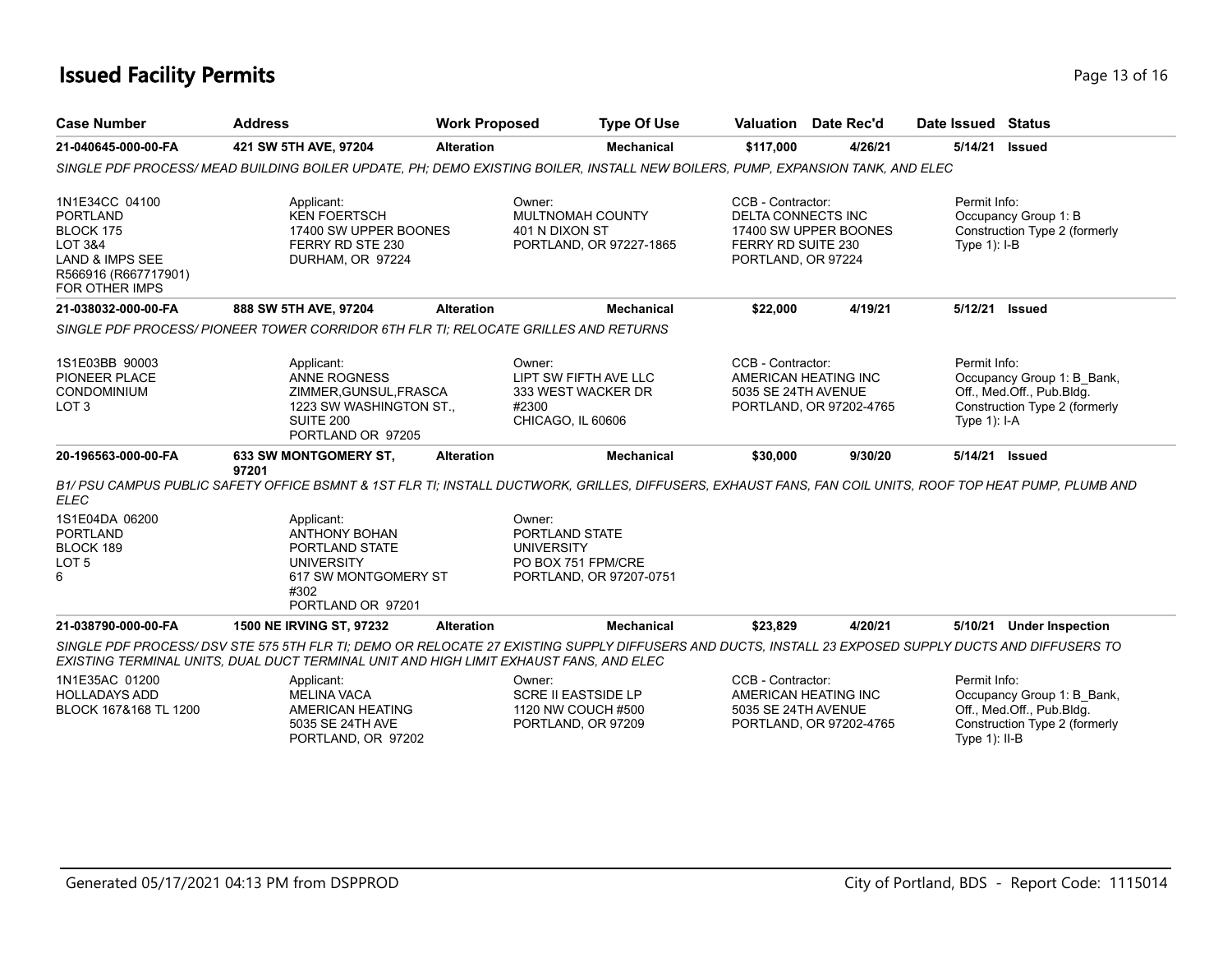# **Issued Facility Permits Page 13 of 16**

| <b>Case Number</b>                                                                                                                                                | <b>Address</b>                                                                                                                                                                                                                                  | <b>Work Proposed</b> | <b>Type Of Use</b>                                                                             | Valuation Date Rec'd                                                                        |                                                                                                              | Date Issued Status           |                                                                                                                              |  |
|-------------------------------------------------------------------------------------------------------------------------------------------------------------------|-------------------------------------------------------------------------------------------------------------------------------------------------------------------------------------------------------------------------------------------------|----------------------|------------------------------------------------------------------------------------------------|---------------------------------------------------------------------------------------------|--------------------------------------------------------------------------------------------------------------|------------------------------|------------------------------------------------------------------------------------------------------------------------------|--|
| 21-040645-000-00-FA                                                                                                                                               | 421 SW 5TH AVE, 97204                                                                                                                                                                                                                           | <b>Alteration</b>    | <b>Mechanical</b>                                                                              | \$117,000                                                                                   | 4/26/21                                                                                                      | 5/14/21                      | <b>Issued</b>                                                                                                                |  |
|                                                                                                                                                                   | SINGLE PDF PROCESS/MEAD BUILDING BOILER UPDATE, PH; DEMO EXISTING BOILER, INSTALL NEW BOILERS, PUMP, EXPANSION TANK, AND ELEC                                                                                                                   |                      |                                                                                                |                                                                                             |                                                                                                              |                              |                                                                                                                              |  |
| 1N1E34CC 04100<br><b>PORTLAND</b><br>BLOCK 175<br><b>LOT 3&amp;4</b><br><b>LAND &amp; IMPS SEE</b><br>R566916 (R667717901)<br><b>FOR OTHER IMPS</b>               | Applicant:<br><b>KEN FOERTSCH</b><br>17400 SW UPPER BOONES<br>FERRY RD STE 230<br>DURHAM, OR 97224                                                                                                                                              |                      | Owner:<br>MULTNOMAH COUNTY<br>401 N DIXON ST<br>PORTLAND, OR 97227-1865                        |                                                                                             | CCB - Contractor:<br>DELTA CONNECTS INC<br>17400 SW UPPER BOONES<br>FERRY RD SUITE 230<br>PORTLAND, OR 97224 |                              | Permit Info:<br>Occupancy Group 1: B<br>Construction Type 2 (formerly<br>Type $1$ ): $I-B$                                   |  |
| 21-038032-000-00-FA                                                                                                                                               | 888 SW 5TH AVE, 97204                                                                                                                                                                                                                           | <b>Alteration</b>    | <b>Mechanical</b>                                                                              | \$22,000                                                                                    | 4/19/21                                                                                                      | 5/12/21                      | <b>Issued</b>                                                                                                                |  |
|                                                                                                                                                                   | SINGLE PDF PROCESS/PIONEER TOWER CORRIDOR 6TH FLR TI: RELOCATE GRILLES AND RETURNS                                                                                                                                                              |                      |                                                                                                |                                                                                             |                                                                                                              |                              |                                                                                                                              |  |
| 1S1E03BB 90003<br>PIONEER PLACE<br>CONDOMINIUM<br>LOT <sub>3</sub>                                                                                                | Applicant:<br><b>ANNE ROGNESS</b><br>ZIMMER, GUNSUL, FRASCA<br>1223 SW WASHINGTON ST.,<br>SUITE 200<br>PORTLAND OR 97205                                                                                                                        |                      | Owner:<br>LIPT SW FIFTH AVE LLC<br>333 WEST WACKER DR<br>#2300<br>CHICAGO, IL 60606            | CCB - Contractor:<br>AMERICAN HEATING INC<br>5035 SE 24TH AVENUE                            | PORTLAND, OR 97202-4765                                                                                      | Permit Info:<br>Type 1): I-A | Occupancy Group 1: B_Bank,<br>Off., Med.Off., Pub.Bldg.<br>Construction Type 2 (formerly                                     |  |
| 20-196563-000-00-FA                                                                                                                                               | <b>633 SW MONTGOMERY ST.</b>                                                                                                                                                                                                                    | <b>Alteration</b>    | <b>Mechanical</b>                                                                              | \$30,000                                                                                    | 9/30/20                                                                                                      | 5/14/21                      | <b>Issued</b>                                                                                                                |  |
| <b>ELEC</b>                                                                                                                                                       | 97201<br>B1/ PSU CAMPUS PUBLIC SAFETY OFFICE BSMNT & 1ST FLR TI; INSTALL DUCTWORK, GRILLES, DIFFUSERS, EXHAUST FANS, FAN COIL UNITS, ROOF TOP HEAT PUMP, PLUMB AND                                                                              |                      |                                                                                                |                                                                                             |                                                                                                              |                              |                                                                                                                              |  |
| 1S1E04DA 06200<br><b>PORTLAND</b><br>BLOCK 189<br>LOT <sub>5</sub><br>6                                                                                           | Applicant:<br><b>ANTHONY BOHAN</b><br>PORTLAND STATE<br><b>UNIVERSITY</b><br>617 SW MONTGOMERY ST<br>#302<br>PORTLAND OR 97201                                                                                                                  |                      | Owner:<br>PORTLAND STATE<br><b>UNIVERSITY</b><br>PO BOX 751 FPM/CRE<br>PORTLAND, OR 97207-0751 |                                                                                             |                                                                                                              |                              |                                                                                                                              |  |
| 21-038790-000-00-FA                                                                                                                                               | 1500 NE IRVING ST, 97232                                                                                                                                                                                                                        | <b>Alteration</b>    | <b>Mechanical</b>                                                                              | \$23,829                                                                                    | 4/20/21                                                                                                      | 5/10/21                      | <b>Under Inspection</b>                                                                                                      |  |
|                                                                                                                                                                   | SINGLE PDF PROCESS/ DSV STE 575 5TH FLR TI; DEMO OR RELOCATE 27 EXISTING SUPPLY DIFFUSERS AND DUCTS, INSTALL 23 EXPOSED SUPPLY DUCTS AND DIFFUSERS TO<br>EXISTING TERMINAL UNITS, DUAL DUCT TERMINAL UNIT AND HIGH LIMIT EXHAUST FANS, AND ELEC |                      |                                                                                                |                                                                                             |                                                                                                              |                              |                                                                                                                              |  |
| 1N1E35AC 01200<br>Applicant:<br><b>HOLLADAYS ADD</b><br><b>MELINA VACA</b><br>BLOCK 167&168 TL 1200<br>AMERICAN HEATING<br>5035 SE 24TH AVE<br>PORTLAND, OR 97202 |                                                                                                                                                                                                                                                 |                      | Owner:<br><b>SCRE II EASTSIDE LP</b><br>1120 NW COUCH #500<br>PORTLAND, OR 97209               | CCB - Contractor:<br>AMERICAN HEATING INC<br>5035 SE 24TH AVENUE<br>PORTLAND, OR 97202-4765 |                                                                                                              |                              | Permit Info:<br>Occupancy Group 1: B_Bank,<br>Off., Med.Off., Pub.Bldg.<br>Construction Type 2 (formerly<br>Type $1$ ): II-B |  |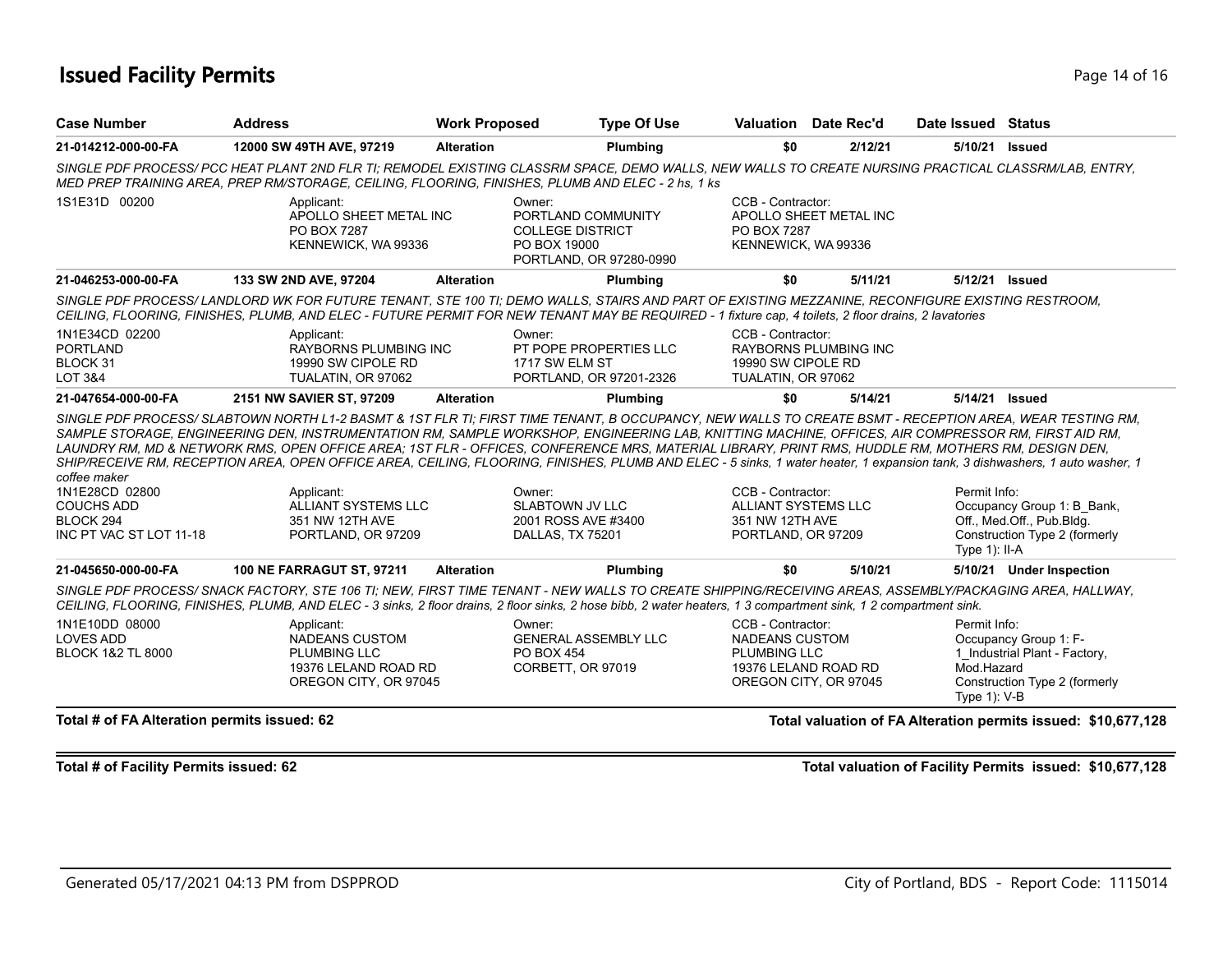# **Issued Facility Permits** Page 14 of 16

| <b>Case Number</b><br><b>Address</b>                                                        |                                                                                                                                                                                                                                                                                                                                                                                                                                                                                                                                                                                                                                                                                                                                  | <b>Work Proposed</b>     | <b>Type Of Use</b>                                                       |                                                                                           | <b>Valuation</b> Date Rec'd  | Date Issued Status                            |                                                                                          |
|---------------------------------------------------------------------------------------------|----------------------------------------------------------------------------------------------------------------------------------------------------------------------------------------------------------------------------------------------------------------------------------------------------------------------------------------------------------------------------------------------------------------------------------------------------------------------------------------------------------------------------------------------------------------------------------------------------------------------------------------------------------------------------------------------------------------------------------|--------------------------|--------------------------------------------------------------------------|-------------------------------------------------------------------------------------------|------------------------------|-----------------------------------------------|------------------------------------------------------------------------------------------|
| 21-014212-000-00-FA                                                                         | 12000 SW 49TH AVE, 97219                                                                                                                                                                                                                                                                                                                                                                                                                                                                                                                                                                                                                                                                                                         | <b>Alteration</b>        | Plumbing                                                                 | \$0                                                                                       | 2/12/21                      | 5/10/21 Issued                                |                                                                                          |
|                                                                                             | SINGLE PDF PROCESS/ PCC HEAT PLANT 2ND FLR TI; REMODEL EXISTING CLASSRM SPACE, DEMO WALLS, NEW WALLS TO CREATE NURSING PRACTICAL CLASSRM/LAB, ENTRY,<br>MED PREP TRAINING AREA, PREP RM/STORAGE, CEILING, FLOORING, FINISHES, PLUMB AND ELEC - 2 hs, 1 ks                                                                                                                                                                                                                                                                                                                                                                                                                                                                        |                          |                                                                          |                                                                                           |                              |                                               |                                                                                          |
| 1S1E31D 00200                                                                               | Applicant:<br>APOLLO SHEET METAL INC<br>PO BOX 7287<br>KENNEWICK, WA 99336                                                                                                                                                                                                                                                                                                                                                                                                                                                                                                                                                                                                                                                       | Owner:<br>PO BOX 19000   | PORTLAND COMMUNITY<br><b>COLLEGE DISTRICT</b><br>PORTLAND, OR 97280-0990 | CCB - Contractor:<br>PO BOX 7287<br>KENNEWICK, WA 99336                                   | APOLLO SHEET METAL INC       |                                               |                                                                                          |
| 21-046253-000-00-FA                                                                         | 133 SW 2ND AVE, 97204                                                                                                                                                                                                                                                                                                                                                                                                                                                                                                                                                                                                                                                                                                            | <b>Alteration</b>        | Plumbing                                                                 | \$0                                                                                       | 5/11/21                      | 5/12/21 Issued                                |                                                                                          |
|                                                                                             | SINGLE PDF PROCESS/LANDLORD WK FOR FUTURE TENANT, STE 100 TI; DEMO WALLS, STAIRS AND PART OF EXISTING MEZZANINE, RECONFIGURE EXISTING RESTROOM,<br>CEILING, FLOORING, FINISHES, PLUMB, AND ELEC - FUTURE PERMIT FOR NEW TENANT MAY BE REQUIRED - 1 fixture cap, 4 toilets, 2 floor drains, 2 lavatories                                                                                                                                                                                                                                                                                                                                                                                                                          |                          |                                                                          |                                                                                           |                              |                                               |                                                                                          |
| 1N1E34CD 02200<br><b>PORTLAND</b><br>BLOCK 31<br>LOT 3&4                                    | Applicant:<br><b>RAYBORNS PLUMBING INC</b><br>19990 SW CIPOLE RD<br>TUALATIN, OR 97062                                                                                                                                                                                                                                                                                                                                                                                                                                                                                                                                                                                                                                           | Owner:<br>1717 SW ELM ST | PT POPE PROPERTIES LLC<br>PORTLAND, OR 97201-2326                        | CCB - Contractor:<br>19990 SW CIPOLE RD<br>TUALATIN, OR 97062                             | <b>RAYBORNS PLUMBING INC</b> |                                               |                                                                                          |
| 21-047654-000-00-FA                                                                         | 2151 NW SAVIER ST, 97209                                                                                                                                                                                                                                                                                                                                                                                                                                                                                                                                                                                                                                                                                                         | <b>Alteration</b>        | Plumbing                                                                 | \$0                                                                                       | 5/14/21                      | 5/14/21 Issued                                |                                                                                          |
| coffee maker<br>1N1E28CD 02800<br><b>COUCHS ADD</b><br>BLOCK 294<br>INC PT VAC ST LOT 11-18 | SINGLE PDF PROCESS/ SLABTOWN NORTH L1-2 BASMT & 1ST FLR TI; FIRST TIME TENANT, B OCCUPANCY, NEW WALLS TO CREATE BSMT - RECEPTION AREA, WEAR TESTING RM,<br>SAMPLE STORAGE, ENGINEERING DEN, INSTRUMENTATION RM, SAMPLE WORKSHOP, ENGINEERING LAB, KNITTING MACHINE, OFFICES, AIR COMPRESSOR RM, FIRST AID RM,<br>LAUNDRY RM, MD & NETWORK RMS, OPEN OFFICE AREA; 1ST FLR - OFFICES, CONFERENCE MRS, MATERIAL LIBRARY, PRINT RMS, HUDDLE RM, MOTHERS RM, DESIGN DEN,<br>SHIP/RECEIVE RM, RECEPTION AREA, OPEN OFFICE AREA, CEILING, FLOORING, FINISHES, PLUMB AND ELEC - 5 sinks, 1 water heater, 1 expansion tank, 3 dishwashers, 1 auto washer, 1<br>Applicant:<br>ALLIANT SYSTEMS LLC<br>351 NW 12TH AVE<br>PORTLAND, OR 97209 | Owner:                   | SLABTOWN JV LLC<br>2001 ROSS AVE #3400<br>DALLAS, TX 75201               | CCB - Contractor:<br><b>ALLIANT SYSTEMS LLC</b><br>351 NW 12TH AVE<br>PORTLAND, OR 97209  |                              | Permit Info:<br>Type $1$ ): II-A              | Occupancy Group 1: B_Bank,<br>Off., Med.Off., Pub.Bldg.<br>Construction Type 2 (formerly |
| 21-045650-000-00-FA                                                                         | <b>100 NE FARRAGUT ST, 97211</b>                                                                                                                                                                                                                                                                                                                                                                                                                                                                                                                                                                                                                                                                                                 | <b>Alteration</b>        | Plumbing                                                                 | \$0                                                                                       | 5/10/21                      |                                               | 5/10/21 Under Inspection                                                                 |
|                                                                                             | SINGLE PDF PROCESS/ SNACK FACTORY, STE 106 TI; NEW, FIRST TIME TENANT - NEW WALLS TO CREATE SHIPPING/RECEIVING AREAS, ASSEMBLY/PACKAGING AREA, HALLWAY,<br>CEILING, FLOORING, FINISHES, PLUMB, AND ELEC - 3 sinks, 2 floor drains, 2 floor sinks, 2 hose bibb, 2 water heaters, 1 3 compartment sink, 1 2 compartment sink.                                                                                                                                                                                                                                                                                                                                                                                                      |                          |                                                                          |                                                                                           |                              |                                               |                                                                                          |
| 1N1E10DD 08000<br><b>LOVES ADD</b><br><b>BLOCK 1&amp;2 TL 8000</b>                          | Applicant:<br><b>NADEANS CUSTOM</b><br><b>PLUMBING LLC</b><br>19376 LELAND ROAD RD<br>OREGON CITY, OR 97045                                                                                                                                                                                                                                                                                                                                                                                                                                                                                                                                                                                                                      | Owner:<br>PO BOX 454     | <b>GENERAL ASSEMBLY LLC</b><br>CORBETT, OR 97019                         | CCB - Contractor:<br><b>NADEANS CUSTOM</b><br><b>PLUMBING LLC</b><br>19376 LELAND ROAD RD | OREGON CITY, OR 97045        | Permit Info:<br>Mod.Hazard<br>Type $1$ ): V-B | Occupancy Group 1: F-<br>1_Industrial Plant - Factory,<br>Construction Type 2 (formerly  |
| Total # of FA Alteration permits issued: 62                                                 |                                                                                                                                                                                                                                                                                                                                                                                                                                                                                                                                                                                                                                                                                                                                  |                          |                                                                          |                                                                                           |                              |                                               | Total valuation of FA Alteration permits issued: \$10,677,128                            |

**Total # of Facility Permits issued: 62 Total valuation of Facility Permits issued: \$10,677,128**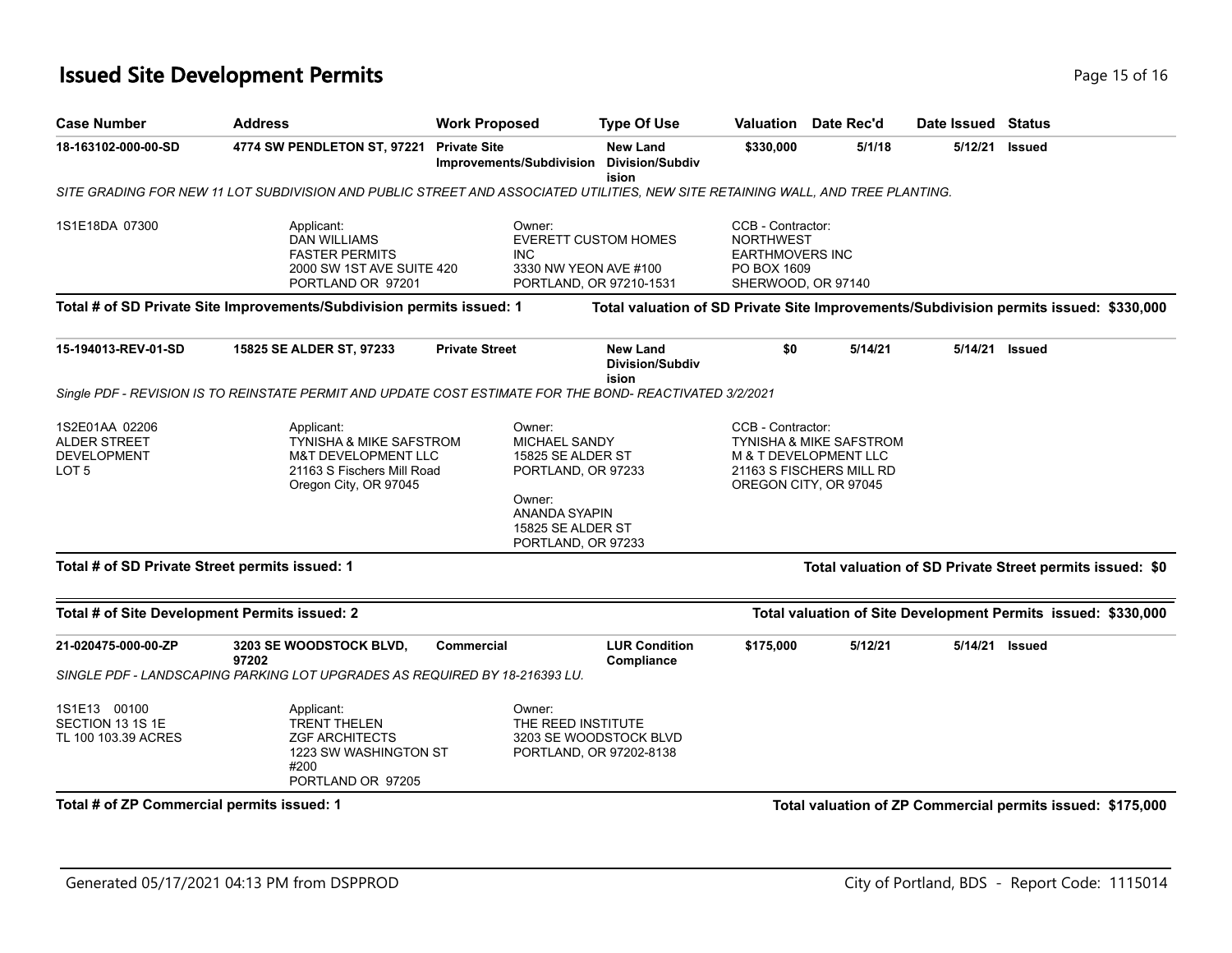# **Issued Site Development Permits Page 15 of 16** and the state of 16 and the state of 16 and 15 of 16 and 15 of 16 and 15 of 16 and 15 of 16 and 15 of 16 and 15 of 16 and 15 of 16 and 15 of 16 and 15 of 16 and 15 of 16 an

| <b>Case Number</b>                                                              | <b>Work Proposed</b><br><b>Address</b>                                                                                                    |                                                 | <b>Type Of Use</b>                                                                                                          |                                                                                                      | <b>Valuation</b> Date Rec'd                                                                                                           | Date Issued Status |                                                                                       |
|---------------------------------------------------------------------------------|-------------------------------------------------------------------------------------------------------------------------------------------|-------------------------------------------------|-----------------------------------------------------------------------------------------------------------------------------|------------------------------------------------------------------------------------------------------|---------------------------------------------------------------------------------------------------------------------------------------|--------------------|---------------------------------------------------------------------------------------|
| 18-163102-000-00-SD                                                             | 4774 SW PENDLETON ST, 97221                                                                                                               | <b>Private Site</b><br>Improvements/Subdivision | <b>New Land</b><br><b>Division/Subdiv</b><br>ision                                                                          | \$330,000                                                                                            | 5/1/18                                                                                                                                | 5/12/21            | <b>Issued</b>                                                                         |
|                                                                                 | SITE GRADING FOR NEW 11 LOT SUBDIVISION AND PUBLIC STREET AND ASSOCIATED UTILITIES, NEW SITE RETAINING WALL, AND TREE PLANTING.           |                                                 |                                                                                                                             |                                                                                                      |                                                                                                                                       |                    |                                                                                       |
| 1S1E18DA 07300                                                                  | Applicant:<br><b>DAN WILLIAMS</b><br><b>FASTER PERMITS</b><br>2000 SW 1ST AVE SUITE 420<br>PORTLAND OR 97201                              | Owner:<br><b>INC</b><br>3330 NW YEON AVE #100   | <b>EVERETT CUSTOM HOMES</b><br>PORTLAND, OR 97210-1531                                                                      | CCB - Contractor:<br><b>NORTHWEST</b><br><b>EARTHMOVERS INC</b><br>PO BOX 1609<br>SHERWOOD, OR 97140 |                                                                                                                                       |                    |                                                                                       |
|                                                                                 | Total # of SD Private Site Improvements/Subdivision permits issued: 1                                                                     |                                                 |                                                                                                                             |                                                                                                      |                                                                                                                                       |                    | Total valuation of SD Private Site Improvements/Subdivision permits issued: \$330,000 |
| 15-194013-REV-01-SD                                                             | 15825 SE ALDER ST, 97233                                                                                                                  | <b>Private Street</b>                           | <b>New Land</b><br><b>Division/Subdiv</b><br>ision                                                                          | \$0                                                                                                  | 5/14/21                                                                                                                               | 5/14/21            | <b>Issued</b>                                                                         |
|                                                                                 | Single PDF - REVISION IS TO REINSTATE PERMIT AND UPDATE COST ESTIMATE FOR THE BOND- REACTIVATED 3/2/2021                                  |                                                 |                                                                                                                             |                                                                                                      |                                                                                                                                       |                    |                                                                                       |
| 1S2E01AA 02206<br><b>ALDER STREET</b><br><b>DEVELOPMENT</b><br>LOT <sub>5</sub> | Applicant:<br><b>TYNISHA &amp; MIKE SAFSTROM</b><br><b>M&amp;T DEVELOPMENT LLC</b><br>21163 S Fischers Mill Road<br>Oregon City, OR 97045 | Owner:<br>Owner:                                | <b>MICHAEL SANDY</b><br>15825 SE ALDER ST<br>PORTLAND, OR 97233<br>ANANDA SYAPIN<br>15825 SE ALDER ST<br>PORTLAND, OR 97233 |                                                                                                      | CCB - Contractor:<br><b>TYNISHA &amp; MIKE SAFSTROM</b><br>M & T DEVELOPMENT LLC<br>21163 S FISCHERS MILL RD<br>OREGON CITY, OR 97045 |                    |                                                                                       |
| Total # of SD Private Street permits issued: 1                                  |                                                                                                                                           |                                                 |                                                                                                                             |                                                                                                      |                                                                                                                                       |                    | Total valuation of SD Private Street permits issued: \$0                              |
| Total # of Site Development Permits issued: 2                                   |                                                                                                                                           |                                                 |                                                                                                                             |                                                                                                      |                                                                                                                                       |                    | Total valuation of Site Development Permits issued: \$330,000                         |
| 21-020475-000-00-ZP                                                             | 3203 SE WOODSTOCK BLVD,<br>97202<br>SINGLE PDF - LANDSCAPING PARKING LOT UPGRADES AS REQUIRED BY 18-216393 LU.                            | <b>Commercial</b>                               | <b>LUR Condition</b><br>Compliance                                                                                          | \$175,000                                                                                            | 5/12/21                                                                                                                               | 5/14/21            | <b>Issued</b>                                                                         |
| 1S1E13 00100<br>SECTION 13 1S 1E<br>TL 100 103.39 ACRES                         | Applicant:<br><b>TRENT THELEN</b><br><b>ZGF ARCHITECTS</b><br>1223 SW WASHINGTON ST<br>#200<br>PORTLAND OR 97205                          | Owner:<br>THE REED INSTITUTE                    | 3203 SE WOODSTOCK BLVD<br>PORTLAND, OR 97202-8138                                                                           |                                                                                                      |                                                                                                                                       |                    |                                                                                       |
| Total # of ZP Commercial permits issued: 1                                      |                                                                                                                                           |                                                 |                                                                                                                             |                                                                                                      |                                                                                                                                       |                    | Total valuation of ZP Commercial permits issued: \$175,000                            |